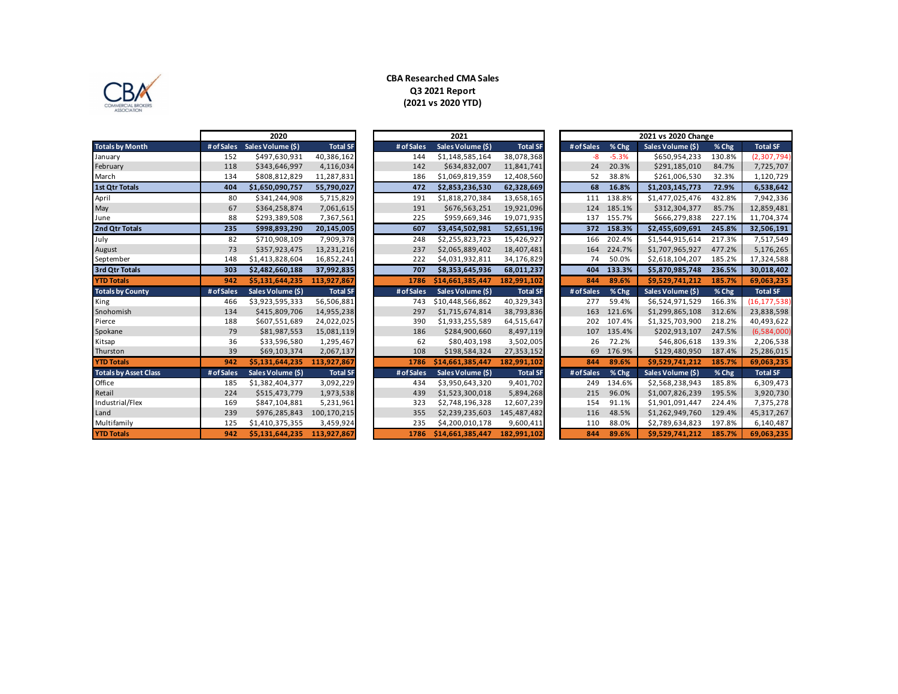

## **CBA Researched CMA Sales Q3 2021 Report (2021 vs 2020 YTD)**

|                              |            | ZUZU              |                 |            | 2021              |                 |            |         | 2021 vs 2020 Change |        |                 |
|------------------------------|------------|-------------------|-----------------|------------|-------------------|-----------------|------------|---------|---------------------|--------|-----------------|
| <b>Totals by Month</b>       | # of Sales | Sales Volume (\$) | <b>Total SF</b> | # of Sales | Sales Volume (\$) | <b>Total SF</b> | # of Sales | % Chg   | Sales Volume (\$)   | % Chg  | <b>Total SF</b> |
| January                      | 152        | \$497,630,931     | 40,386,162      | 144        | \$1,148,585,164   | 38,078,368      | -8         | $-5.3%$ | \$650,954,233       | 130.8% | (2,307,794)     |
| February                     | 118        | \$343,646,997     | 4,116,034       | 142        | \$634,832,007     | 11,841,741      | 24         | 20.3%   | \$291,185,010       | 84.7%  | 7,725,707       |
| March                        | 134        | \$808,812,829     | 11,287,831      | 186        | \$1,069,819,359   | 12,408,560      | 52         | 38.8%   | \$261,006,530       | 32.3%  | 1,120,729       |
| <b>1st Qtr Totals</b>        | 404        | \$1,650,090,757   | 55,790,027      | 472        | \$2,853,236,530   | 62,328,669      | 68         | 16.8%   | \$1,203,145,773     | 72.9%  | 6,538,642       |
| April                        | 80         | \$341,244,908     | 5,715,829       | 191        | \$1,818,270,384   | 13,658,165      | 111        | 138.8%  | \$1,477,025,476     | 432.8% | 7,942,336       |
| May                          | 67         | \$364,258,874     | 7,061,615       | 191        | \$676,563,251     | 19,921,096      | 124        | 185.1%  | \$312,304,377       | 85.7%  | 12,859,481      |
| June                         | 88         | \$293,389,508     | 7,367,561       | 225        | \$959,669,346     | 19,071,935      | 137        | 155.7%  | \$666,279,838       | 227.1% | 11,704,374      |
| 2nd Qtr Totals               | 235        | \$998,893,290     | 20,145,005      | 607        | \$3,454,502,981   | 52,651,196      | 372        | 158.3%  | \$2,455,609,691     | 245.8% | 32,506,191      |
| July                         | 82         | \$710,908,109     | 7,909,378       | 248        | \$2,255,823,723   | 15,426,927      | 166        | 202.4%  | \$1,544,915,614     | 217.3% | 7,517,549       |
| August                       | 73         | \$357,923,475     | 13,231,216      | 237        | \$2,065,889,402   | 18,407,481      | 164        | 224.7%  | \$1,707,965,927     | 477.2% | 5,176,265       |
| September                    | 148        | \$1,413,828,604   | 16,852,241      | 222        | \$4,031,932,811   | 34,176,829      | 74         | 50.0%   | \$2,618,104,207     | 185.2% | 17,324,588      |
| 3rd Qtr Totals               | 303        | \$2,482,660,188   | 37,992,835      | 707        | \$8,353,645,936   | 68,011,237      | 404        | 133.3%  | \$5,870,985,748     | 236.5% | 30,018,402      |
| <b>YTD Totals</b>            | 942        | \$5,131,644,235   | 113.927.867     | 1786       | \$14,661,385,447  | 182,991,102     | 844        | 89.6%   | \$9.529.741.212     | 185.7% | 69,063,235      |
| <b>Totals by County</b>      | # of Sales | Sales Volume (\$) | <b>Total SF</b> | # of Sales | Sales Volume (\$) | <b>Total SF</b> | # of Sales | % Chg   | Sales Volume (\$)   | % Chg  | <b>Total SF</b> |
| King                         | 466        | \$3,923,595,333   | 56,506,881      | 743        | \$10,448,566,862  | 40,329,343      | 277        | 59.4%   | \$6,524,971,529     | 166.3% | (16, 177, 538)  |
| Snohomish                    | 134        | \$415,809,706     | 14,955,238      | 297        | \$1,715,674,814   | 38,793,836      | 163        | 121.6%  | \$1,299,865,108     | 312.6% | 23,838,598      |
| Pierce                       | 188        | \$607,551,689     | 24,022,025      | 390        | \$1,933,255,589   | 64,515,647      | 202        | 107.4%  | \$1,325,703,900     | 218.2% | 40,493,622      |
| Spokane                      | 79         | \$81,987,553      | 15,081,119      | 186        | \$284,900,660     | 8,497,119       | 107        | 135.4%  | \$202,913,107       | 247.5% | (6,584,000)     |
| Kitsap                       | 36         | \$33,596,580      | 1,295,467       | 62         | \$80,403,198      | 3,502,005       | 26         | 72.2%   | \$46,806,618        | 139.3% | 2,206,538       |
| Thurston                     | 39         | \$69,103,374      | 2,067,137       | 108        | \$198,584,324     | 27,353,152      | 69         | 176.9%  | \$129,480,950       | 187.4% | 25,286,015      |
| <b>YTD Totals</b>            | 942        | \$5,131,644,235   | 113,927,867     | 1786       | \$14,661,385,447  | 182,991,102     | 844        | 89.6%   | \$9,529,741,212     | 185.7% | 69,063,235      |
| <b>Totals by Asset Class</b> | # of Sales | Sales Volume (\$) | <b>Total SF</b> | # of Sales | Sales Volume (\$) | <b>Total SF</b> | # of Sales | % Chg   | Sales Volume (\$)   | % Chg  | <b>Total SF</b> |
| Office                       | 185        | \$1,382,404,377   | 3,092,229       | 434        | \$3,950,643,320   | 9,401,702       | 249        | 134.6%  | \$2,568,238,943     | 185.8% | 6,309,473       |
| Retail                       | 224        | \$515,473,779     | 1,973,538       | 439        | \$1,523,300,018   | 5,894,268       | 215        | 96.0%   | \$1,007,826,239     | 195.5% | 3,920,730       |
| Industrial/Flex              | 169        | \$847,104,881     | 5,231,961       | 323        | \$2,748,196,328   | 12,607,239      | 154        | 91.1%   | \$1,901,091,447     | 224.4% | 7,375,278       |
|                              |            |                   |                 |            |                   |                 |            |         |                     |        |                 |
| Land                         | 239        | \$976,285,843     | 100,170,215     | 355        | \$2,239,235,603   | 145,487,482     | 116        | 48.5%   | \$1,262,949,760     | 129.4% | 45,317,267      |
| Multifamily                  | 125        | \$1,410,375,355   | 3,459,924       | 235        | \$4,200,010,178   | 9,600,411       | 110        | 88.0%   | \$2,789,634,823     | 197.8% | 6,140,487       |

| # of Sales | Sales Volume (\$) | <b>Total SF</b> |
|------------|-------------------|-----------------|
| 144        | \$1,148,585,164   | 38,078,368      |
| 142        | \$634,832,007     | 11,841,741      |
| 186        | \$1,069,819,359   | 12,408,560      |
| 472        | \$2,853,236,530   | 62,328,669      |
| 191        | \$1,818,270,384   | 13,658,165      |
| 191        | \$676,563,251     | 19,921,096      |
| 225        | \$959,669,346     | 19,071,935      |
| 607        | \$3,454,502,981   | 52,651,196      |
| 248        | \$2,255,823,723   | 15,426,927      |
| 237        | \$2,065,889,402   | 18,407,481      |
| 222        | \$4,031,932,811   | 34,176,829      |
| 707        | \$8,353,645,936   | 68,011,237      |
| 1786       | \$14,661,385,447  | 182,991,102     |
| # of Sales | Sales Volume (\$) | <b>Total SF</b> |
| 743        | \$10,448,566,862  | 40,329,343      |
| 297        | \$1,715,674,814   | 38,793,836      |
| 390        | \$1,933,255,589   | 64,515,647      |
| 186        | \$284,900,660     | 8,497,119       |
| 62         | \$80,403,198      | 3,502,005       |
| 108        | \$198,584,324     | 27,353,152      |
| 1786       | \$14,661,385,447  | 182,991,102     |
| # of Sales | Sales Volume (\$) | <b>Total SF</b> |
| 434        | \$3,950,643,320   | 9,401,702       |
| 439        | \$1,523,300,018   | 5,894,268       |
| 323        | \$2,748,196,328   | 12,607,239      |
| 355        | \$2,239,235,603   | 145,487,482     |
| 235        | \$4,200,010,178   | 9,600,411       |
| 1786       | \$14,661,385,447  | 182,991,102     |

|                              |            | 2020              |                 |            | 2021              |                 |            |         | 2021 vs 2020 Change |        |                 |
|------------------------------|------------|-------------------|-----------------|------------|-------------------|-----------------|------------|---------|---------------------|--------|-----------------|
| <b>Totals by Month</b>       | # of Sales | Sales Volume (\$) | <b>Total SF</b> | # of Sales | Sales Volume (\$) | <b>Total SF</b> | # of Sales | % Chg   | Sales Volume (\$)   | % Chg  | <b>Total SF</b> |
| January                      | 152        | \$497,630,931     | 40,386,162      | 144        | \$1,148,585,164   | 38,078,368      | $-8$       | $-5.3%$ | \$650,954,233       | 130.8% | (2,307,794)     |
| February                     | 118        | \$343,646,997     | 4,116,034       | 142        | \$634,832,007     | 11,841,741      | 24         | 20.3%   | \$291,185,010       | 84.7%  | 7,725,707       |
| March                        | 134        | \$808,812,829     | 11,287,831      | 186        | \$1,069,819,359   | 12,408,560      | 52         | 38.8%   | \$261,006,530       | 32.3%  | 1,120,729       |
| 1st Qtr Totals               | 404        | \$1,650,090,757   | 55,790,027      | 472        | \$2,853,236,530   | 62,328,669      | 68         | 16.8%   | \$1,203,145,773     | 72.9%  | 6,538,642       |
| April                        | 80         | \$341,244,908     | 5,715,829       | 191        | \$1,818,270,384   | 13,658,165      | 111        | 138.8%  | \$1,477,025,476     | 432.8% | 7,942,336       |
| May                          | 67         | \$364,258,874     | 7,061,615       | 191        | \$676,563,251     | 19,921,096      | 124        | 185.1%  | \$312,304,377       | 85.7%  | 12,859,481      |
| June                         | 88         | \$293,389,508     | 7,367,561       | 225        | \$959,669,346     | 19,071,935      | 137        | 155.7%  | \$666,279,838       | 227.1% | 11,704,374      |
| 2nd Qtr Totals               | 235        | \$998,893,290     | 20,145,005      | 607        | \$3,454,502,981   | 52,651,196      | 372        | 158.3%  | \$2,455,609,691     | 245.8% | 32,506,191      |
| July                         | 82         | \$710,908,109     | 7,909,378       | 248        | \$2,255,823,723   | 15,426,927      | 166        | 202.4%  | \$1,544,915,614     | 217.3% | 7,517,549       |
| August                       | 73         | \$357,923,475     | 13,231,216      | 237        | \$2,065,889,402   | 18,407,481      | 164        | 224.7%  | \$1,707,965,927     | 477.2% | 5,176,265       |
| September                    | 148        | \$1,413,828,604   | 16,852,241      | 222        | \$4,031,932,811   | 34,176,829      | 74         | 50.0%   | \$2,618,104,207     | 185.2% | 17,324,588      |
| 3rd Qtr Totals               | 303        | \$2,482,660,188   | 37,992,835      | 707        | \$8,353,645,936   | 68,011,237      | 404        | 133.3%  | \$5,870,985,748     | 236.5% | 30,018,402      |
| <b>YTD Totals</b>            | 942        | \$5,131,644,235   | 113,927,867     | 1786       | \$14,661,385,447  | 182,991,102     | 844        | 89.6%   | \$9,529,741,212     | 185.7% | 69,063,235      |
| <b>Totals by County</b>      | # of Sales | Sales Volume (\$) | <b>Total SF</b> | # of Sales | Sales Volume (\$) | <b>Total SF</b> | # of Sales | % Chg   | Sales Volume (\$)   | % Chg  | <b>Total SF</b> |
| King                         | 466        | \$3,923,595,333   | 56,506,881      | 743        | \$10,448,566,862  | 40,329,343      | 277        | 59.4%   | \$6,524,971,529     | 166.3% | (16, 177, 538)  |
| Snohomish                    | 134        | \$415,809,706     | 14,955,238      | 297        | \$1,715,674,814   | 38,793,836      | 163        | 121.6%  | \$1,299,865,108     | 312.6% | 23,838,598      |
| Pierce                       | 188        | \$607,551,689     | 24,022,025      | 390        | \$1,933,255,589   | 64,515,647      | 202        | 107.4%  | \$1,325,703,900     | 218.2% | 40,493,622      |
| Spokane                      |            |                   |                 |            |                   |                 |            |         |                     |        |                 |
|                              | 79         | \$81,987,553      | 15,081,119      | 186        | \$284,900,660     | 8,497,119       | 107        | 135.4%  | \$202,913,107       | 247.5% | (6,584,000)     |
| Kitsap                       | 36         | \$33,596,580      | 1,295,467       | 62         | \$80,403,198      | 3,502,005       | 26         | 72.2%   | \$46,806,618        | 139.3% | 2,206,538       |
| Thurston                     | 39         | \$69,103,374      | 2,067,137       | 108        | \$198,584,324     | 27,353,152      | 69         | 176.9%  | \$129,480,950       | 187.4% | 25,286,015      |
| <b>YTD Totals</b>            | 942        | \$5,131,644,235   | 113,927,867     | 1786       | \$14,661,385,447  | 182,991,102     | 844        | 89.6%   | \$9,529,741,212     | 185.7% | 69,063,235      |
| <b>Totals by Asset Class</b> | # of Sales | Sales Volume (\$) | <b>Total SF</b> | # of Sales | Sales Volume (\$) | <b>Total SF</b> | # of Sales | % Chg   | Sales Volume (\$)   | % Chg  | <b>Total SF</b> |
| Office                       | 185        | \$1,382,404,377   | 3,092,229       | 434        | \$3,950,643,320   | 9,401,702       | 249        | 134.6%  | \$2,568,238,943     | 185.8% | 6,309,473       |
| Retail                       | 224        | \$515,473,779     | 1,973,538       | 439        | \$1,523,300,018   | 5,894,268       | 215        | 96.0%   | \$1,007,826,239     | 195.5% | 3,920,730       |
|                              | 169        | \$847,104,881     | 5,231,961       | 323        | \$2,748,196,328   | 12,607,239      | 154        | 91.1%   | \$1,901,091,447     | 224.4% | 7,375,278       |
| Industrial/Flex<br>Land      | 239        | \$976,285,843     | 100,170,215     | 355        | \$2,239,235,603   | 145,487,482     | 116        | 48.5%   | \$1,262,949,760     | 129.4% | 45,317,267      |
| Multifamily                  | 125        | \$1,410,375,355   | 3,459,924       | 235        | \$4,200,010,178   | 9,600,411       | 110        | 88.0%   | \$2,789,634,823     | 197.8% | 6,140,487       |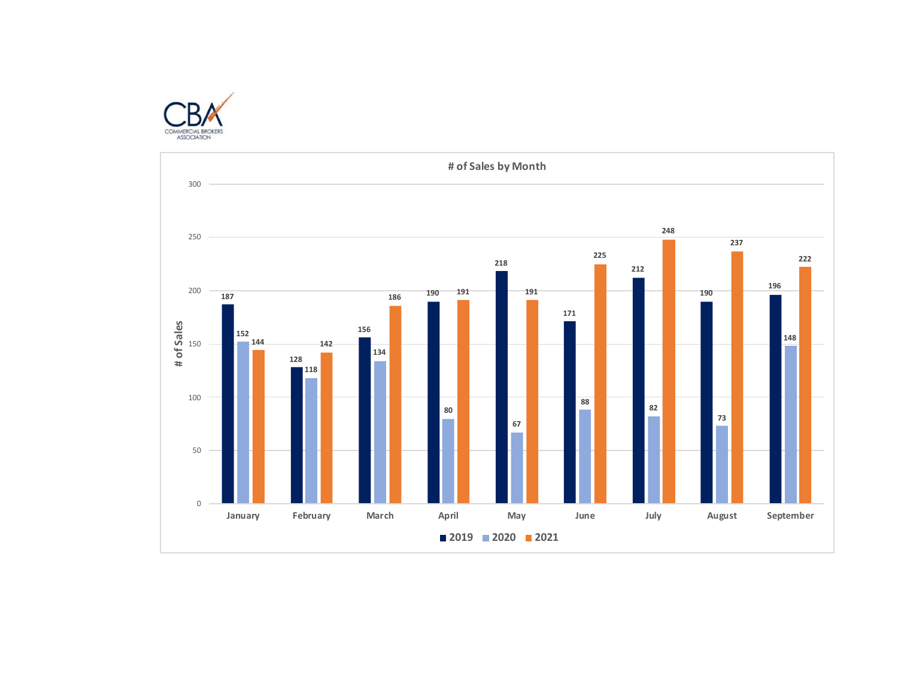

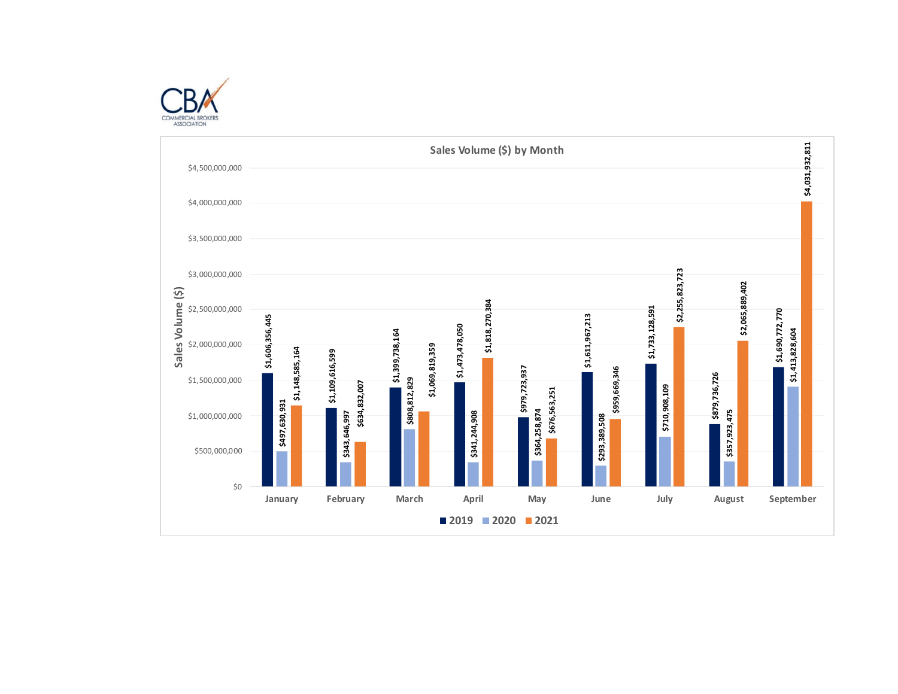

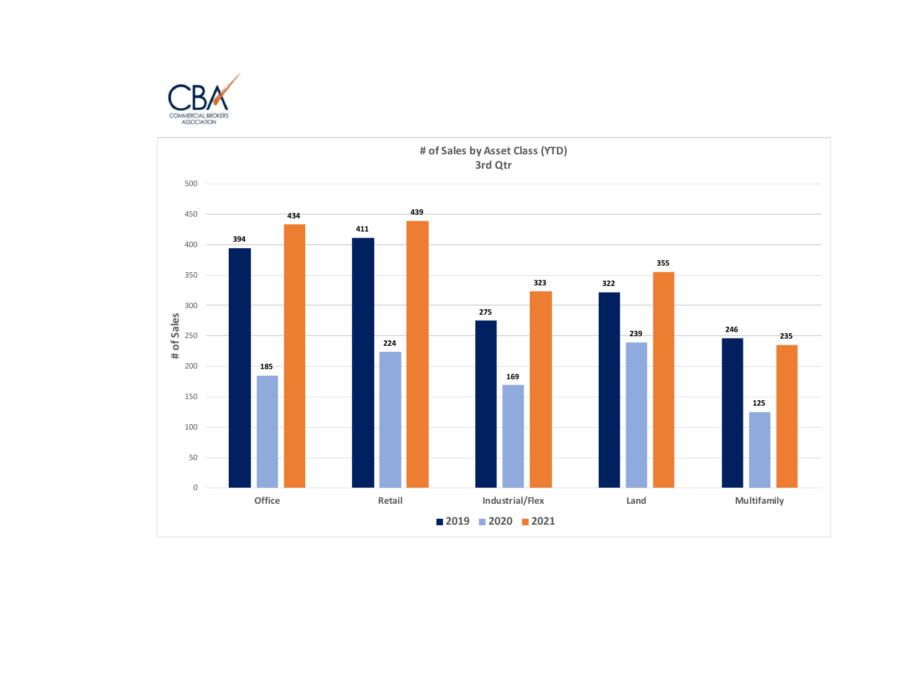

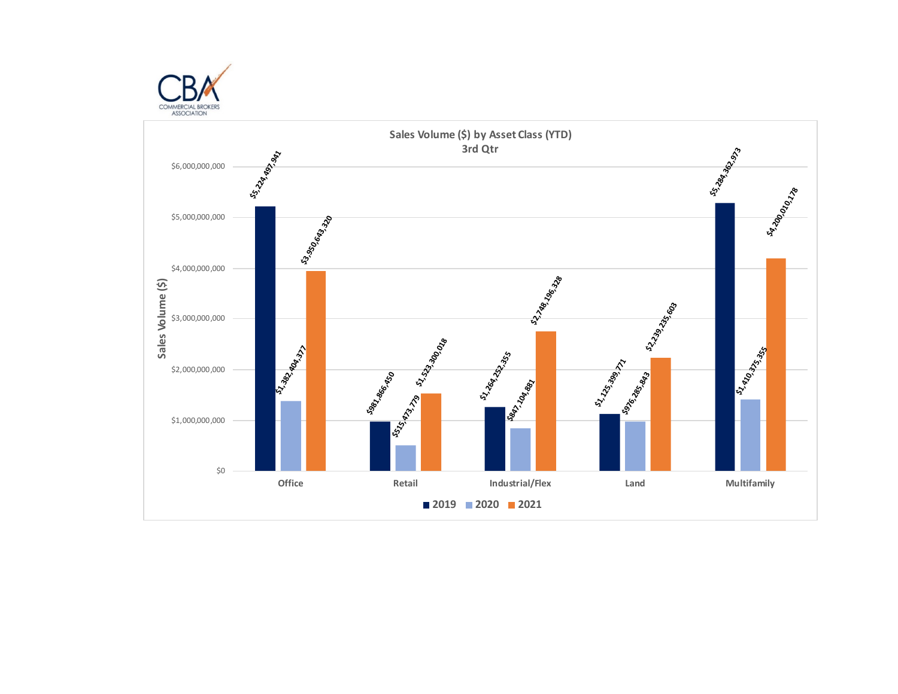

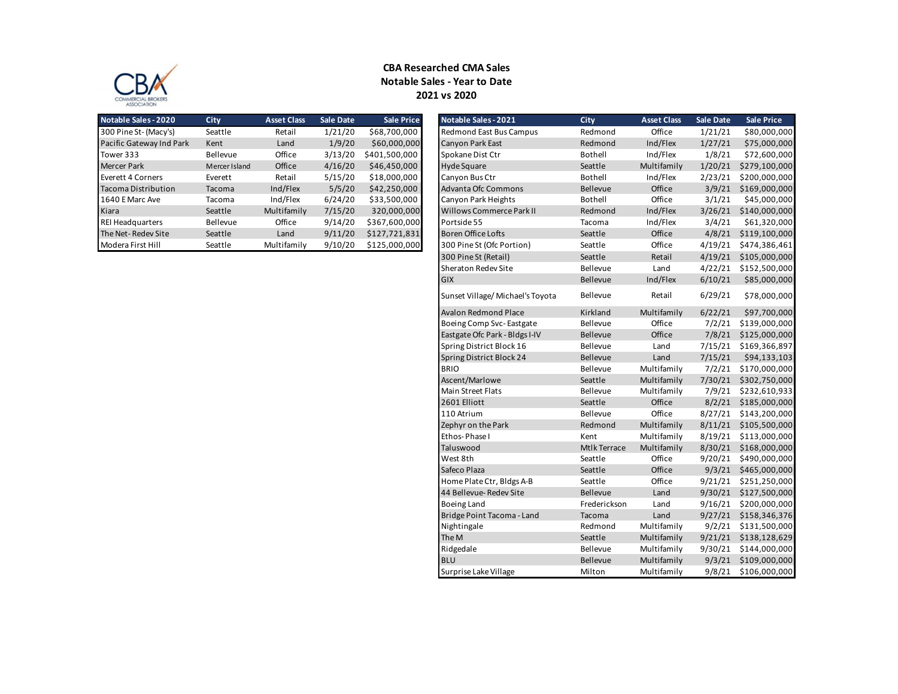

## **Notable Sales - Year to Date CBA Researched CMA Sales 2021 vs 2020**

| <b>Notable Sales - 2020</b> | City          | <b>Asset Class</b> | <b>Sale Date</b> | <b>Sale Price</b> |
|-----------------------------|---------------|--------------------|------------------|-------------------|
| 300 Pine St- (Macy's)       | Seattle       | Retail             | 1/21/20          | \$68,700,000      |
| Pacific Gateway Ind Park    | Kent          | Land               | 1/9/20           | \$60,000,000      |
| Tower 333                   | Bellevue      | Office             | 3/13/20          | \$401,500,000     |
| <b>Mercer Park</b>          | Mercer Island | Office             | 4/16/20          | \$46,450,000      |
| Everett 4 Corners           | Everett       | Retail             | 5/15/20          | \$18,000,000      |
| Tacoma Distribution         | Tacoma        | Ind/Flex           | 5/5/20           | \$42,250,000      |
| 1640 E Marc Ave             | Tacoma        | Ind/Flex           | 6/24/20          | \$33,500,000      |
| Kiara                       | Seattle       | Multifamily        | 7/15/20          | 320,000,000       |
| <b>REI Headquarters</b>     | Bellevue      | Office             | 9/14/20          | \$367,600,000     |
| The Net-Redev Site          | Seattle       | Land               | 9/11/20          | \$127,721,831     |
| Modera First Hill           | Seattle       | Multifamily        | 9/10/20          | \$125,000,000     |

| <b>Notable Sales - 2020</b> | City          | <b>Asset Class</b> | <b>Sale Date</b> | <b>Sale Price</b> | Notable Sales - 2021            | City            | <b>Asset Class</b> | <b>Sale Date</b> | <b>Sale Price</b>     |
|-----------------------------|---------------|--------------------|------------------|-------------------|---------------------------------|-----------------|--------------------|------------------|-----------------------|
| 300 Pine St- (Macy's)       | Seattle       | Retail             | 1/21/20          | \$68,700,000      | <b>Redmond East Bus Campus</b>  | Redmond         | Office             | 1/21/21          | \$80,000,000          |
| Pacific Gateway Ind Park    | Kent          | Land               | 1/9/20           | \$60,000,000      | Canyon Park East                | Redmond         | Ind/Flex           | 1/27/21          | \$75,000,000          |
| Tower 333                   | Bellevue      | Office             | 3/13/20          | \$401,500,000     | Spokane Dist Ctr                | Bothell         | Ind/Flex           | 1/8/21           | \$72,600,000          |
| Mercer Park                 | Mercer Island | Office             | 4/16/20          | \$46,450,000      | <b>Hyde Square</b>              | Seattle         | Multifamily        | 1/20/21          | \$279,100,000         |
| Everett 4 Corners           | Everett       | Retail             | 5/15/20          | \$18,000,000      | Canyon Bus Ctr                  | Bothell         | Ind/Flex           | 2/23/21          | \$200,000,000         |
| Tacoma Distribution         | Tacoma        | Ind/Flex           | 5/5/20           | \$42,250,000      | Advanta Ofc Commons             | Bellevue        | Office             |                  | 3/9/21 \$169,000,000  |
| 1640 E Marc Ave             | Tacoma        | Ind/Flex           | 6/24/20          | \$33,500,000      | Canyon Park Heights             | Bothell         | Office             | 3/1/21           | \$45,000,000          |
| Kiara                       | Seattle       | Multifamily        | 7/15/20          | 320,000,000       | Willows Commerce Park II        | Redmond         | Ind/Flex           | 3/26/21          | \$140,000,000         |
| <b>REI Headquarters</b>     | Bellevue      | Office             | 9/14/20          | \$367,600,000     | Portside 55                     | Tacoma          | Ind/Flex           | 3/4/21           | \$61,320,000          |
| The Net- Redev Site         | Seattle       | Land               | 9/11/20          | \$127,721,831     | <b>Boren Office Lofts</b>       | Seattle         | Office             |                  | 4/8/21 \$119,100,000  |
| Modera First Hill           | Seattle       | Multifamily        | 9/10/20          | \$125,000,000     | 300 Pine St (Ofc Portion)       | Seattle         | Office             | 4/19/21          | \$474,386,461         |
|                             |               |                    |                  |                   | 300 Pine St (Retail)            | Seattle         | Retail             |                  | 4/19/21 \$105,000,000 |
|                             |               |                    |                  |                   | <b>Sheraton Redev Site</b>      | Bellevue        | Land               |                  | 4/22/21 \$152,500,000 |
|                             |               |                    |                  |                   | <b>GIX</b>                      | Bellevue        | Ind/Flex           | 6/10/21          | \$85,000,000          |
|                             |               |                    |                  |                   | Sunset Village/Michael's Toyota | Bellevue        | Retail             | 6/29/21          | \$78,000,000          |
|                             |               |                    |                  |                   | <b>Avalon Redmond Place</b>     | Kirkland        | Multifamily        | 6/22/21          | \$97,700,000          |
|                             |               |                    |                  |                   | Boeing Comp Svc-Eastgate        | Bellevue        | Office             |                  | 7/2/21 \$139,000,000  |
|                             |               |                    |                  |                   | Eastgate Ofc Park - Bldgs I-IV  | <b>Bellevue</b> | Office             |                  | 7/8/21 \$125,000,000  |
|                             |               |                    |                  |                   | Spring District Block 16        | Bellevue        | Land               | 7/15/21          | \$169,366,897         |
|                             |               |                    |                  |                   | Spring District Block 24        | Bellevue        | Land               | 7/15/21          | \$94,133,103          |
|                             |               |                    |                  |                   | <b>BRIO</b>                     | <b>Bellevue</b> | Multifamily        | 7/2/21           | \$170,000,000         |
|                             |               |                    |                  |                   | Ascent/Marlowe                  | Seattle         | Multifamily        |                  | 7/30/21 \$302,750,000 |
|                             |               |                    |                  |                   | <b>Main Street Flats</b>        | Bellevue        | Multifamily        |                  | 7/9/21 \$232,610,933  |
|                             |               |                    |                  |                   | 2601 Elliott                    | Seattle         | Office             |                  | 8/2/21 \$185,000,000  |
|                             |               |                    |                  |                   | 110 Atrium                      | Bellevue        | Office             |                  | 8/27/21 \$143,200,000 |
|                             |               |                    |                  |                   | Zephyr on the Park              | Redmond         | Multifamily        | 8/11/21          | \$105,500,000         |
|                             |               |                    |                  |                   | Ethos-Phase I                   | Kent            | Multifamily        | 8/19/21          | \$113,000,000         |
|                             |               |                    |                  |                   | Taluswood                       | Mtlk Terrace    | Multifamily        | 8/30/21          | \$168,000,000         |
|                             |               |                    |                  |                   | West 8th                        | Seattle         | Office             |                  | 9/20/21 \$490,000,000 |
|                             |               |                    |                  |                   | Safeco Plaza                    | Seattle         | Office             |                  | 9/3/21 \$465,000,000  |
|                             |               |                    |                  |                   | Home Plate Ctr, Bldgs A-B       | Seattle         | Office             |                  | 9/21/21 \$251,250,000 |
|                             |               |                    |                  |                   | 44 Bellevue-Redev Site          | Bellevue        | Land               |                  | 9/30/21 \$127,500,000 |
|                             |               |                    |                  |                   | <b>Boeing Land</b>              | Frederickson    | Land               | 9/16/21          | \$200,000,000         |
|                             |               |                    |                  |                   | Bridge Point Tacoma - Land      | Tacoma          | Land               |                  | 9/27/21 \$158,346,376 |
|                             |               |                    |                  |                   | Nightingale                     | Redmond         | Multifamily        | 9/2/21           | \$131,500,000         |
|                             |               |                    |                  |                   | The M                           | Seattle         | Multifamily        |                  | 9/21/21 \$138,128,629 |
|                             |               |                    |                  |                   | Ridgedale                       | <b>Bellevue</b> | Multifamily        | 9/30/21          | \$144,000,000         |
|                             |               |                    |                  |                   | <b>BLU</b>                      | Bellevue        | Multifamily        |                  | 9/3/21 \$109,000,000  |
|                             |               |                    |                  |                   | Surprise Lake Village           | Milton          | Multifamily        |                  | 9/8/21 \$106,000,000  |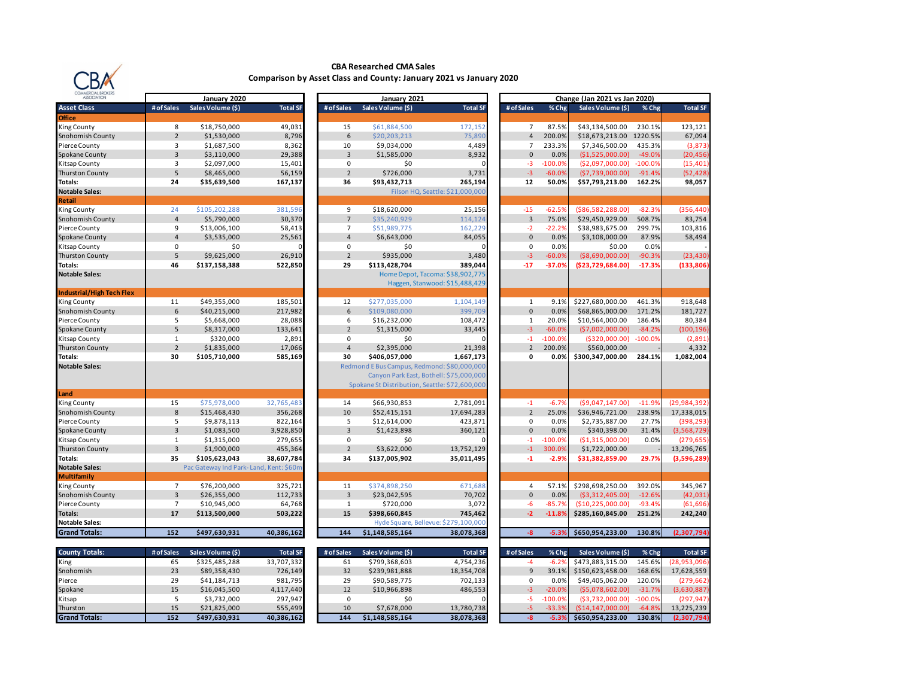

#### **CBA Researched CMA Sales Comparison by Asset Class and County: January 2021 vs January 2020**

| <b>ASSOCIATION</b>               |                | January 2020                           |                 |                | January 2021      |                                                |                |           | Change (Jan 2021 vs Jan 2020) |           |                 |
|----------------------------------|----------------|----------------------------------------|-----------------|----------------|-------------------|------------------------------------------------|----------------|-----------|-------------------------------|-----------|-----------------|
| <b>Asset Class</b>               | # of Sales     | Sales Volume (\$)                      | <b>Total SF</b> | # of Sales     | Sales Volume (\$) | <b>Total SF</b>                                | # of Sales     | % Chg     | Sales Volume (\$)             | % Chg     | <b>Total SF</b> |
| <b>Office</b>                    |                |                                        |                 |                |                   |                                                |                |           |                               |           |                 |
| King County                      | 8              | \$18,750,000                           | 49,031          | 15             | \$61,884,500      | 172,152                                        | $\overline{7}$ | 87.5%     | \$43,134,500.00               | 230.1%    | 123,121         |
| Snohomish County                 | $\overline{2}$ | \$1,530,000                            | 8,796           | 6              | \$20,203,213      | 75,890                                         | $\overline{4}$ | 200.0%    | \$18,673,213.00 1220.5%       |           | 67,094          |
| Pierce County                    | 3              | \$1,687,500                            | 8,362           | 10             | \$9,034,000       | 4,489                                          | $\overline{7}$ | 233.3%    | \$7,346,500.00                | 435.3%    | (3, 873)        |
| Spokane County                   | $\overline{3}$ | \$3,110,000                            | 29,388          | $\overline{3}$ | \$1,585,000       | 8,932                                          | $\mathbf{0}$   | 0.0%      | (51,525,000.00)               | $-49.0%$  | (20, 456)       |
| Kitsap County                    | 3              | \$2,097,000                            | 15,401          | 0              | \$0               |                                                | $-3$           | $-100.0%$ | ( \$2,097,000.00)             | $-100.0%$ | (15, 401)       |
| <b>Thurston County</b>           | 5              | \$8,465,000                            | 56,159          | $\overline{2}$ | \$726,000         | 3,731                                          | $-3$           | $-60.0%$  | (57,739,000.00)               | $-91.4%$  | (52, 428)       |
| Totals:                          | 24             | \$35,639,500                           | 167,137         | 36             | \$93,432,713      | 265,194                                        | 12             | 50.0%     | \$57,793,213.00               | 162.2%    | 98,057          |
| <b>Notable Sales:</b>            |                |                                        |                 |                |                   | Filson HQ, Seattle: \$21,000,000               |                |           |                               |           |                 |
| Retail                           |                |                                        |                 |                |                   |                                                |                |           |                               |           |                 |
| King County                      | 24             | \$105,202,288                          | 381,596         | 9              | \$18,620,000      | 25,156                                         | $-15$          | $-62.59$  | ( \$86, 582, 288.00)          | $-82.3%$  | (356, 440)      |
| Snohomish County                 | $\overline{4}$ | \$5,790,000                            | 30,370          | $\overline{7}$ | \$35,240,929      | 114,124                                        | $\overline{3}$ | 75.0%     | \$29,450,929.00               | 508.7%    | 83,754          |
| Pierce County                    | 9              | \$13,006,100                           | 58,413          | $\overline{7}$ | \$51,989,775      | 162,229                                        | $-2$           | $-22.29$  | \$38,983,675.00               | 299.7%    | 103,816         |
| Spokane County                   | $\overline{4}$ | \$3,535,000                            | 25,561          | $\overline{4}$ | \$6,643,000       | 84,055                                         | $\mathbf{0}$   | 0.0%      | \$3,108,000.00                | 87.9%     | 58,494          |
| Kitsap County                    | 0              | \$0                                    | n               | 0              | \$0               | O                                              | 0              | 0.0%      | \$0.00                        | 0.0%      |                 |
| <b>Thurston County</b>           | 5              | \$9,625,000                            | 26,910          | $\overline{2}$ | \$935,000         | 3,480                                          | $-3$           | $-60.0%$  | ( \$8,690,000.00)             | $-90.3%$  | (23, 430)       |
| Totals:                          | 46             | \$137,158,388                          | 522,850         | 29             | \$113,428,704     | 389,044                                        | $-17$          | $-37.09$  | (\$23,729,684.00)             | $-17.3%$  | (133, 806)      |
| <b>Notable Sales:</b>            |                |                                        |                 |                |                   | Home Depot, Tacoma: \$38,902,775               |                |           |                               |           |                 |
|                                  |                |                                        |                 |                |                   | Haggen, Stanwood: \$15,488,429                 |                |           |                               |           |                 |
| <b>Industrial/High Tech Flex</b> |                |                                        |                 |                |                   |                                                |                |           |                               |           |                 |
| King County                      | 11             | \$49,355,000                           | 185,501         | 12             | \$277,035,000     | 1,104,149                                      | $\mathbf{1}$   | 9.1%      | \$227,680,000.00              | 461.3%    | 918,648         |
| Snohomish County                 | 6              | \$40,215,000                           | 217,982         | 6              | \$109,080,000     | 399,709                                        | $\mathbf{0}$   | 0.0%      | \$68,865,000.00               | 171.2%    | 181,727         |
| Pierce County                    | 5              | \$5,668,000                            | 28,088          | 6              | \$16,232,000      | 108,472                                        | 1              | 20.0%     | \$10,564,000.00               | 186.4%    | 80,384          |
| Spokane County                   | 5              | \$8,317,000                            | 133,641         | $\overline{2}$ | \$1,315,000       | 33,445                                         | $-3$           | $-60.0%$  | (57,002,000.00)               | $-84.2%$  | (100, 196)      |
| Kitsap County                    | $\mathbf{1}$   | \$320,000                              | 2,891           | $\mathbf 0$    | \$0               |                                                | $-1$           | $-100.0%$ | ( \$320,000.00)               | $-100.0%$ | (2,891)         |
| <b>Thurston County</b>           | $\overline{2}$ | \$1,835,000                            | 17,066          | $\overline{4}$ | \$2,395,000       | 21,398                                         | $\overline{2}$ | 200.0%    | \$560,000.00                  |           | 4,332           |
| Totals:                          | 30             | \$105,710,000                          | 585,169         | 30             | \$406,057,000     | 1,667,173                                      | 0              | 0.0%      | \$300,347,000.00              | 284.1%    | 1,082,004       |
| <b>Notable Sales:</b>            |                |                                        |                 |                |                   | Redmond E Bus Campus, Redmond: \$80,000,000    |                |           |                               |           |                 |
|                                  |                |                                        |                 |                |                   | Canyon Park East, Bothell: \$75,000,000        |                |           |                               |           |                 |
|                                  |                |                                        |                 |                |                   | Spokane St Distribution, Seattle: \$72,600,000 |                |           |                               |           |                 |
| Land                             |                |                                        |                 |                |                   |                                                |                |           |                               |           |                 |
| King County                      | 15             | \$75,978,000                           | 32,765,483      | 14             | \$66,930,853      | 2,781,091                                      | $-1$           | $-6.79$   | (59.047.147.00)               | $-11.99$  | (29, 984, 392)  |
| Snohomish County                 | 8              | \$15,468,430                           | 356,268         | 10             | \$52,415,151      | 17,694,283                                     | $\overline{2}$ | 25.0%     | \$36,946,721.00               | 238.9%    | 17,338,015      |
| Pierce County                    | 5              | \$9,878,113                            | 822,164         | 5              | \$12,614,000      | 423,871                                        | 0              | 0.0%      | \$2,735,887.00                | 27.7%     | (398, 293)      |
| Spokane County                   | $\overline{3}$ | \$1,083,500                            | 3,928,850       | $\overline{3}$ | \$1,423,898       | 360,121                                        | $\mathbf{0}$   | 0.0%      | \$340,398.00                  | 31.4%     | (3,568,729)     |
| Kitsap County                    | $\mathbf{1}$   | \$1,315,000                            | 279,655         | $\mathbf 0$    | \$0               |                                                | $-1$           | $-100.09$ | ( \$1,315,000.00)             | 0.0%      | (279, 655)      |
| <b>Thurston County</b>           | $\overline{3}$ | \$1,900,000                            | 455,364         | $\overline{2}$ | \$3,622,000       | 13,752,129                                     | $-1$           | 300.0%    | \$1,722,000.00                |           | 13,296,765      |
| Totals:                          | 35             | \$105,623,043                          | 38,607,784      | 34             | \$137,005,902     | 35,011,495                                     | $-1$           | $-2.9%$   | \$31,382,859.00               | 29.7%     | (3,596,289)     |
| <b>Notable Sales:</b>            |                | Pac Gateway Ind Park-Land, Kent: \$60m |                 |                |                   |                                                |                |           |                               |           |                 |
| Multifamily                      |                |                                        |                 |                |                   |                                                |                |           |                               |           |                 |
| King County                      | $\overline{7}$ | \$76,200,000                           | 325,721         | 11             | \$374,898,250     | 671,688                                        | 4              | 57.1%     | \$298,698,250.00              | 392.0%    | 345,967         |
| Snohomish County                 | $\overline{3}$ | \$26,355,000                           | 112,733         | $\overline{3}$ | \$23,042,595      | 70,702                                         | $\Omega$       | 0.0%      | ( \$3,312,405.00)             | $-12.6%$  | (42, 031)       |
| Pierce County                    | $\overline{7}$ | \$10,945,000                           | 64,768          | $\mathbf{1}$   | \$720,000         | 3,072                                          | $-6$           | $-85.79$  | (\$10,225,000.00)             | $-93.4%$  | (61, 696)       |
| Totals:                          | 17             | \$113,500,000                          | 503,222         | 15             | \$398,660,845     | 745,462                                        | $-2$           | $-11.8%$  | \$285,160,845.00              | 251.2%    | 242,240         |
| <b>Notable Sales:</b>            |                |                                        |                 |                |                   | Hyde Square, Bellevue: \$279,100,000           |                |           |                               |           |                 |
| <b>Grand Totals:</b>             | 152            | \$497,630,931                          | 40,386,162      | 144            | \$1,148,585,164   | 38,078,368                                     | $-8$           | $-5.39$   | \$650,954,233.00              | 130.8%    | (2,307,794)     |
|                                  |                |                                        |                 |                |                   |                                                |                |           |                               |           |                 |
| <b>County Totals:</b>            | # of Sales     | Sales Volume (\$)                      | <b>Total SF</b> | # of Sales     | Sales Volume (\$) | <b>Total SF</b>                                | # of Sales     | % Chg     | Sales Volume (\$)             | % Chg     | <b>Total SF</b> |

| <b>COUNTY FOTALS:</b> | # of Sales | sales volume (5) | Total SF.  | # of Sales | sales volume (5) | Total SF.  | # of Sales | % Chg L   | sales volume (5) | % Chg     | Total SF       |
|-----------------------|------------|------------------|------------|------------|------------------|------------|------------|-----------|------------------|-----------|----------------|
| King                  |            | \$325.485.288    | 33,707,332 | -61        | \$799.368.603    | 4.754.236  |            |           | \$473.883.315.00 | 145.6%    | (28, 953, 096) |
| Snohomish             | 23         | \$89,358,430     | 726,149    |            | \$239,981,888    | 18,354,708 |            |           | \$150.623.458.00 | 168.6%    | 17,628,559     |
| Pierce                | 29         | \$41.184.713     | 981,795    |            | \$90.589.775     | 702,133    |            | 0.0%      | \$49.405.062.00  | 120.0%    | (279, 662)     |
| Spokane               |            | \$16,045,500     | 4,117,440  |            | \$10,966,898     | 486,553    |            | $-20.0\%$ | (55,078,602.00)  | $-31.7%$  | (3,630,887)    |
| Kitsap                |            | \$3.732.000      | 297.947    |            |                  |            |            | $-100.0%$ | (53.732.000.00)  | $-100.0%$ | (297.947)      |
| Thurston              |            | \$21.825.000     | 555,499    | 10         | \$7.678.000      | 13,780,738 |            |           | (S14.147.000.00) | $-64.8%$  | 13.225.239     |
| <b>Grand Totals:</b>  | 152        | \$497.630.931    | 40.386.162 | 144        | \$1.148.585.164  | 38.078.368 |            |           | \$650.954.233.00 | 130.8%    | (2.307.794)    |

|                         | January 2021      |                                                |                         |           | Change (Jan 2021 vs Jan 2020) |           |                 |
|-------------------------|-------------------|------------------------------------------------|-------------------------|-----------|-------------------------------|-----------|-----------------|
| of Sales                | Sales Volume (\$) | <b>Total SF</b>                                | # of Sales              | % Chg     | Sales Volume (\$)             | % Chg     | <b>Total SF</b> |
|                         |                   |                                                |                         |           |                               |           |                 |
| 15                      | \$61,884,500      | 172,152                                        | 7                       | 87.5%     | \$43,134,500.00               | 230.1%    | 123,121         |
| 6                       | \$20,203,213      | 75,890                                         | $\overline{4}$          | 200.0%    | \$18,673,213.00               | 1220.5%   | 67,094          |
| 10                      | \$9,034,000       | 4,489                                          | $\overline{7}$          | 233.3%    | \$7,346,500.00                | 435.3%    | (3,873)         |
| 3                       | \$1,585,000       | 8,932                                          | $\mathbf{0}$            | 0.0%      | (\$1,525,000.00)              | $-49.0%$  | (20, 456)       |
| 0                       | \$0               | 0                                              | $-3$                    | $-100.0%$ | (\$2,097,000.00)              | $-100.0%$ | (15, 401)       |
| $\overline{2}$          | \$726,000         | 3,731                                          | $-3$                    | $-60.0%$  | (\$7,739,000.00)              | $-91.4%$  | (52,428         |
| 36                      | \$93,432,713      | 265,194                                        | 12                      | 50.0%     | \$57,793,213.00               | 162.2%    | 98,057          |
|                         |                   | Filson HQ, Seattle: \$21,000,000               |                         |           |                               |           |                 |
|                         |                   |                                                |                         |           |                               |           |                 |
| 9                       | \$18,620,000      | 25,156                                         | $-15$                   | $-62.5%$  | ( \$86,582,288.00)            | $-82.3%$  | (356, 440)      |
| $\overline{7}$          | \$35,240,929      | 114,124                                        | 3                       | 75.0%     | \$29,450,929.00               | 508.7%    | 83,754          |
| $\overline{7}$          | \$51,989,775      | 162,229                                        | $-2$                    | $-22.2%$  | \$38,983,675.00               | 299.7%    | 103,816         |
| $\overline{\mathbf{4}}$ | \$6,643,000       | 84,055                                         | $\mathbf 0$             | 0.0%      | \$3,108,000.00                | 87.9%     | 58,494          |
| 0                       | \$0               | 0                                              | 0                       | 0.0%      | \$0.00                        | 0.0%      |                 |
| $\overline{2}$          | \$935,000         | 3,480                                          | $-3$                    | $-60.0%$  | ( \$8,690,000.00)             | $-90.3%$  | (23, 430)       |
| 29                      | \$113,428,704     | 389,044                                        | $-17$                   | $-37.0%$  | (\$23,729,684.00)             | $-17.3%$  | (133, 806)      |
|                         |                   | Home Depot, Tacoma: \$38,902,775               |                         |           |                               |           |                 |
|                         |                   | Haggen, Stanwood: \$15,488,429                 |                         |           |                               |           |                 |
|                         |                   |                                                |                         |           |                               |           |                 |
| 12                      | \$277,035,000     | 1,104,149                                      | $1\,$                   | 9.1%      | \$227,680,000.00              | 461.3%    | 918,648         |
| 6                       | \$109,080,000     | 399,709                                        | $\mathbf 0$             | 0.0%      | \$68,865,000.00               | 171.2%    | 181,727         |
| 6                       | \$16,232,000      | 108,472                                        | $\mathbf 1$             | 20.0%     | \$10,564,000.00               | 186.4%    | 80,384          |
| $\overline{2}$          | \$1,315,000       | 33,445                                         | $-3$                    | $-60.0%$  | (\$7,002,000.00)              | $-84.2%$  | (100, 196)      |
| 0                       | \$0               | 0                                              | $-1$                    | $-100.0%$ | ( \$320,000.00)               | $-100.0%$ | (2,891)         |
| $\overline{4}$          | \$2,395,000       | 21,398                                         | $\mathbf 2$             | 200.0%    | \$560,000.00                  |           | 4,332           |
| 30                      | \$406,057,000     | 1,667,173                                      | 0                       | 0.0%      | \$300,347,000.00              | 284.1%    | 1,082,004       |
|                         |                   | Redmond E Bus Campus, Redmond: \$80,000,000    |                         |           |                               |           |                 |
|                         |                   | Canyon Park East, Bothell: \$75,000,000        |                         |           |                               |           |                 |
|                         |                   | Spokane St Distribution, Seattle: \$72,600,000 |                         |           |                               |           |                 |
|                         |                   |                                                |                         |           |                               |           |                 |
| 14                      | \$66,930,853      | 2,781,091                                      | $-1$                    | $-6.7%$   | ( \$9,047,147.00)             | $-11.9%$  | (29,984,392     |
| 10                      | \$52,415,151      | 17,694,283                                     | $\overline{2}$          | 25.0%     | \$36,946,721.00               | 238.9%    | 17,338,015      |
| 5                       | \$12,614,000      | 423,871                                        | 0                       | 0.0%      | \$2,735,887.00                | 27.7%     | (398, 293)      |
| 3                       | \$1,423,898       | 360,121                                        | $\mathbf 0$             | 0.0%      | \$340,398.00                  | 31.4%     | (3,568,729)     |
| 0                       | \$0               |                                                | $-1$                    | $-100.0%$ | (\$1,315,000.00)              | 0.0%      | (279, 655)      |
| $\overline{2}$          | \$3,622,000       | 13,752,129                                     | $-1$                    | 300.0%    | \$1,722,000.00                |           | 13,296,765      |
| 34                      | \$137,005,902     | 35,011,495                                     | $-1$                    | $-2.9%$   | \$31,382,859.00               | 29.7%     | (3,596,289)     |
|                         |                   |                                                |                         |           |                               |           |                 |
|                         |                   |                                                |                         |           |                               |           |                 |
| 11                      | \$374,898,250     | 671,688                                        | $\overline{\mathbf{4}}$ | 57.1%     | \$298,698,250.00              | 392.0%    | 345,967         |
| 3                       | \$23,042,595      | 70,702                                         | $\mathbf 0$             | 0.0%      | ( \$3,312,405.00)             | $-12.6%$  | (42, 031)       |
| $\mathbf 1$             | \$720,000         | 3,072                                          | $-6$                    | -85.7%    | (\$10,225,000.00)             | $-93.4%$  | (61, 696)       |
| 15                      | \$398,660,845     | 745,462                                        | $-2$                    | $-11.8%$  | \$285,160,845.00              | 251.2%    | 242,240         |
|                         |                   | Hyde Square, Bellevue: \$279,100,000           |                         |           |                               |           |                 |
| 144                     | \$1,148,585,164   | 38,078,368                                     | $-8$                    | $-5.3%$   | \$650,954,233.00              | 130.8%    | (2,307,794)     |
|                         |                   |                                                |                         |           |                               |           |                 |
|                         |                   |                                                |                         |           |                               |           |                 |
| of Sales                | Sales Volume (\$) | <b>Total SF</b>                                | # of Sales              | % Chg     | Sales Volume (\$)             | % Chg     | <b>Total SF</b> |
| 61                      | \$799,368,603     | 4,754,236                                      | $-4$                    | $-6.2%$   | \$473,883,315.00              | 145.6%    | (28,953,096     |
| 32                      | \$239,981,888     | 18,354,708                                     | 9                       | 39.1%     | \$150,623,458.00              | 168.6%    | 17,628,559      |
| 29                      | \$90,589,775      | 702,133                                        | 0                       | 0.0%      | \$49,405,062.00               | 120.0%    | (279, 662)      |
| 12                      | \$10,966,898      | 486,553                                        | $-3$                    | $-20.0%$  | ( \$5,078,602.00)             | $-31.7%$  | (3,630,887)     |
| $\mathbf 0$             | \$0               | n                                              | -5                      | $-100.0%$ | ( \$3,732,000.00)             | $-100.0%$ | (297,947        |
| 10                      | \$7,678,000       | 13,780,738                                     | -5                      | $-33.3%$  | ( \$14, 147, 000.00)          | $-64.8%$  | 13,225,239      |
| 144                     | \$1,148,585,164   | 38,078,368                                     | $-8$                    | $-5.3%$   | \$650,954,233.00              | 130.8%    | (2,307,794)     |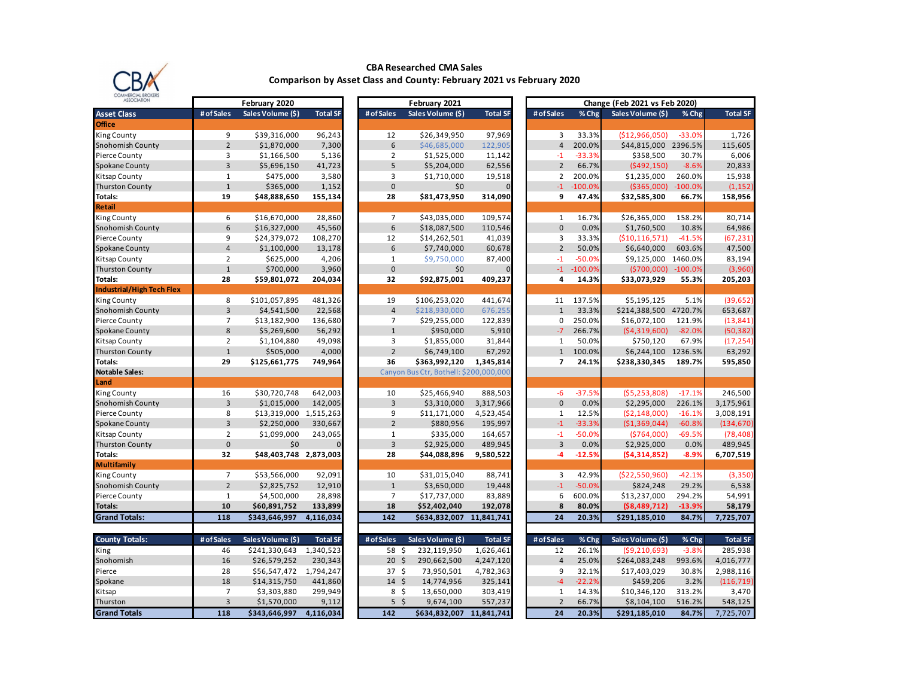

# **CBA Researched CMA Sales**

**Comparison by Asset Class and County: February 2021 vs February 2020**

| <b>ASSOCIATION</b>        |                | February 2020          |                 |                 | February 2021                          |                 |                          |           | Change (Feb 2021 vs Feb 2020) |           |                 |
|---------------------------|----------------|------------------------|-----------------|-----------------|----------------------------------------|-----------------|--------------------------|-----------|-------------------------------|-----------|-----------------|
| <b>Asset Class</b>        | # of Sales     | Sales Volume (\$)      | <b>Total SF</b> | # of Sales      | Sales Volume (\$)                      | <b>Total SF</b> | # of Sales               | % Chg     | Sales Volume (\$)             | % Chg     | <b>Total SF</b> |
| <b>Office</b>             |                |                        |                 |                 |                                        |                 |                          |           |                               |           |                 |
| King County               | 9              | \$39,316,000           | 96,243          | 12              | \$26,349,950                           | 97,969          | 3                        | 33.3%     | (\$12,966,050)                | $-33.0%$  | 1,726           |
| Snohomish County          | $\overline{2}$ | \$1,870,000            | 7,300           | 6               | \$46,685,000                           | 122,905         | $\overline{4}$           | 200.0%    | \$44,815,000                  | 2396.5%   | 115,605         |
| Pierce County             | $\overline{3}$ | \$1,166,500            | 5,136           | $\overline{2}$  | \$1,525,000                            | 11,142          | $-1$                     | $-33.3%$  | \$358,500                     | 30.7%     | 6,006           |
| Spokane County            | $\overline{3}$ | \$5,696,150            | 41,723          | 5               | \$5,204,000                            | 62,556          | $\overline{2}$           | 66.7%     | (5492, 150)                   | $-8.6%$   | 20,833          |
| Kitsap County             | $\mathbf{1}$   | \$475,000              | 3,580           | 3               | \$1,710,000                            | 19,518          | $\overline{2}$           | 200.0%    | \$1,235,000                   | 260.0%    | 15,938          |
| <b>Thurston County</b>    | $1\,$          | \$365,000              | 1,152           | $\pmb{0}$       | \$0                                    |                 | $-1$                     | $-100.0%$ | ( \$365,000)                  | $-100.0%$ | (1, 152)        |
| Totals:                   | 19             | \$48,888,650           | 155,134         | 28              | \$81,473,950                           | 314,090         | 9                        | 47.4%     | \$32,585,300                  | 66.7%     | 158,956         |
| Retail                    |                |                        |                 |                 |                                        |                 |                          |           |                               |           |                 |
| <b>King County</b>        | 6              | \$16,670,000           | 28,860          | $\overline{7}$  | \$43,035,000                           | 109,574         | $\mathbf{1}$             | 16.7%     | \$26,365,000                  | 158.2%    | 80,714          |
| Snohomish County          | $6\phantom{a}$ | \$16,327,000           | 45,560          | $6\,$           | \$18,087,500                           | 110,546         | $\mathbf{0}$             | 0.0%      | \$1,760,500                   | 10.8%     | 64,986          |
| Pierce County             | 9              | \$24,379,072           | 108,270         | 12              | \$14,262,501                           | 41,039          | 3                        | 33.3%     | (\$10,116,571)                | $-41.5%$  | (67, 231)       |
| Spokane County            | $\overline{4}$ | \$1,100,000            | 13,178          | 6               | \$7,740,000                            | 60,678          | $\overline{2}$           | 50.0%     | \$6,640,000                   | 603.6%    | 47,500          |
| Kitsap County             | $\overline{2}$ | \$625,000              | 4,206           | $\mathbf{1}$    | \$9,750,000                            | 87,400          | $-1$                     | $-50.0%$  | \$9,125,000                   | 1460.0%   | 83,194          |
| <b>Thurston County</b>    | $\mathbf{1}$   | \$700,000              | 3,960           | $\pmb{0}$       | \$0                                    |                 | $-1$                     | $-100.0%$ | (5700,000)                    | $-100.0%$ | (3,960)         |
| Totals:                   | 28             | \$59,801,072           | 204,034         | 32              | \$92,875,001                           | 409,237         | 4                        | 14.3%     | \$33,073,929                  | 55.3%     | 205,203         |
| Industrial/High Tech Flex |                |                        |                 |                 |                                        |                 |                          |           |                               |           |                 |
| <b>King County</b>        | 8              | \$101,057,895          | 481,326         | 19              | \$106,253,020                          | 441,674         | 11                       | 137.5%    | \$5,195,125                   | 5.1%      | (39, 652)       |
| Snohomish County          | $\overline{3}$ | \$4,541,500            | 22,568          | $\sqrt{4}$      | \$218,930,000                          | 676,255         | $\mathbf{1}$             | 33.3%     | \$214,388,500 4720.7%         |           | 653,687         |
| Pierce County             | $\overline{7}$ | \$13,182,900           | 136,680         | $\overline{7}$  | \$29,255,000                           | 122,839         | $\mathbf 0$              | 250.0%    | \$16,072,100                  | 121.9%    | (13, 841)       |
| Spokane County            | 8              | \$5,269,600            | 56,292          | $\mathbf{1}$    | \$950,000                              | 5,910           | $-7$                     | 266.7%    | (\$4,319,600)                 | $-82.0%$  | (50, 382)       |
| Kitsap County             | $\overline{2}$ | \$1,104,880            | 49,098          | 3               | \$1,855,000                            | 31,844          | $\mathbf{1}$             | 50.0%     | \$750,120                     | 67.9%     | (17, 254)       |
| <b>Thurston County</b>    | $\mathbf{1}$   | \$505,000              | 4,000           | $\overline{2}$  | \$6,749,100                            | 67,292          | $\mathbf{1}$             | 100.0%    | \$6,244,100 1236.5%           |           | 63,292          |
| Totals:                   | 29             | \$125,661,775          | 749,964         | 36              | \$363,992,120                          | 1,345,814       | $\overline{\phantom{a}}$ | 24.1%     | \$238,330,345                 | 189.7%    | 595,850         |
| <b>Notable Sales:</b>     |                |                        |                 |                 | Canyon Bus Ctr, Bothell: \$200,000,000 |                 |                          |           |                               |           |                 |
| Land                      |                |                        |                 |                 |                                        |                 |                          |           |                               |           |                 |
| King County               | 16             | \$30,720,748           | 642,003         | 10              | \$25,466,940                           | 888,503         | $-6$                     | $-37.5%$  | (55, 253, 808)                | $-17.1%$  | 246,500         |
| Snohomish County          | $\overline{3}$ | \$1,015,000            | 142,005         | $\overline{3}$  | \$3,310,000                            | 3,317,966       | $\mathbf{0}$             | 0.0%      | \$2,295,000                   | 226.1%    | 3,175,961       |
| Pierce County             | 8              | \$13,319,000 1,515,263 |                 | 9               | \$11,171,000                           | 4,523,454       | 1                        | 12.5%     | (52, 148, 000)                | $-16.1%$  | 3,008,191       |
| Spokane County            | $\overline{3}$ | \$2,250,000            | 330,667         | $\overline{2}$  | \$880,956                              | 195,997         | $-1$                     | $-33.3%$  | (\$1,369,044)                 | $-60.8%$  | (134, 670)      |
| Kitsap County             | $\overline{2}$ | \$1,099,000            | 243,065         | $\mathbf{1}$    | \$335,000                              | 164,657         | $-1$                     | $-50.0%$  | (\$764,000)                   | $-69.5%$  | (78, 408)       |
| <b>Thurston County</b>    | $\mathbf{0}$   | \$0                    |                 | $\overline{3}$  | \$2,925,000                            | 489,945         | $\overline{3}$           | 0.0%      | \$2,925,000                   | 0.0%      | 489,945         |
| Totals:                   | 32             | \$48,403,748 2,873,003 |                 | 28              | \$44,088,896                           | 9,580,522       | -4                       | $-12.5%$  | (54, 314, 852)                | $-8.9%$   | 6,707,519       |
| Multifamily               |                |                        |                 |                 |                                        |                 |                          |           |                               |           |                 |
| <b>King County</b>        | $\overline{7}$ | \$53,566,000           | 92,091          | 10              | \$31,015,040                           | 88,741          | 3                        | 42.9%     | (\$22,550,960)                | $-42.1%$  | (3, 350)        |
| Snohomish County          | $\overline{2}$ | \$2,825,752            | 12,910          | $1\,$           | \$3,650,000                            | 19,448          | $-1$                     | $-50.0%$  | \$824,248                     | 29.2%     | 6,538           |
| Pierce County             | $\mathbf{1}$   | \$4,500,000            | 28,898          | $\overline{7}$  | \$17,737,000                           | 83,889          | 6                        | 600.0%    | \$13,237,000                  | 294.2%    | 54,991          |
| <b>Totals:</b>            | 10             | \$60,891,752           | 133,899         | 18              | \$52,402,040                           | 192,078         | 8                        | 80.0%     | ( \$8,489,712)                | $-13.9%$  | 58,179          |
| <b>Grand Totals:</b>      | 118            | \$343,646,997          | 4,116,034       | 142             | \$634,832,007                          | 11,841,741      | 24                       | 20.3%     | \$291,185,010                 | 84.7%     | 7,725,707       |
| <b>County Totals:</b>     | # of Sales     | Sales Volume (\$)      | <b>Total SF</b> | # of Sales      | Sales Volume (\$)                      | <b>Total SF</b> | # of Sales               | % Chg     | Sales Volume (\$)             | % Chg     | <b>Total SF</b> |
| King                      | 46             | \$241,330,643          | 1,340,523       | 58 \$           | 232,119,950                            | 1,626,461       | 12                       | 26.1%     | (59, 210, 693)                | $-3.8%$   | 285,938         |
| Snohomish                 | 16             | \$26,579,252           | 230,343         | \$<br>20        | 290,662,500                            | 4,247,120       | $\overline{4}$           | 25.0%     | \$264,083,248                 | 993.6%    | 4,016,777       |
| Pierce                    | 28             | \$56,547,472           | 1,794,247       | 37 <sup>5</sup> | 73,950,501                             | 4,782,363       | 9                        | 32.1%     | \$17,403,029                  | 30.8%     | 2,988,116       |
| Spokane                   | 18             | \$14,315,750           | 441,860         | $14 \text{ }$   | 14,774,956                             | 325,141         | $-4$                     | $-22.2%$  | \$459,206                     | 3.2%      | (116, 719)      |
| Kitsap                    | $\overline{7}$ | \$3,303,880            | 299,949         | $8\frac{2}{3}$  | 13,650,000                             | 303,419         | $\mathbf{1}$             | 14.3%     | \$10,346,120                  | 313.2%    | 3,470           |
| Thurston                  | $\overline{3}$ | \$1,570,000            | 9,112           | $5\sqrt{5}$     | 9,674,100                              | 557,237         | $\overline{2}$           | 66.7%     | \$8,104,100                   | 516.2%    | 548,125         |
| <b>Grand Totals</b>       | 118            | \$343,646,997          | 4,116,034       | 142             | \$634,832,007 11,841,741               |                 | 24                       | 20.3%     | \$291,185,010                 | 84.7%     | 7,725,707       |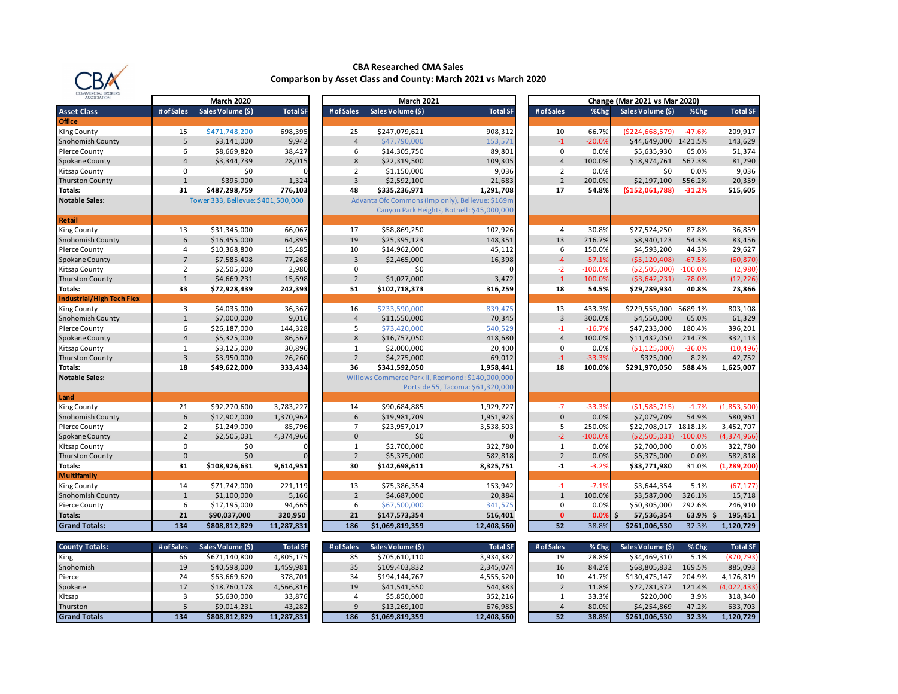

**Office**

**Notable Sales:** 

**Retail**

**Notable Sales:** 

**Land**<br>King County

**Multifamily**

### **CBA Researched CMA Sales Comparison by Asset Class and County: March 2021 vs March 2020**

| lommercial brokers              |                |                                    |                        |                |                     |                                                  |                |           |                                      |                  |                          |
|---------------------------------|----------------|------------------------------------|------------------------|----------------|---------------------|--------------------------------------------------|----------------|-----------|--------------------------------------|------------------|--------------------------|
| <b>ASSOCIATION</b>              |                | <b>March 2020</b>                  |                        |                | <b>March 2021</b>   |                                                  |                |           | <b>Change (Mar 2021 vs Mar 2020)</b> |                  |                          |
| <b>Asset Class</b>              | # of Sales     | Sales Volume (\$)                  | <b>Total SF</b>        | # of Sales     | Sales Volume (\$)   | <b>Total SF</b>                                  | # of Sales     | %Chg      | Sales Volume (\$)                    | %Chg             | <b>Total SF</b>          |
| <b>Office</b>                   |                |                                    |                        |                |                     |                                                  |                |           |                                      |                  |                          |
| King County                     | 15             | \$471,748,200                      | 698,395                | 25             | \$247,079,621       | 908,312                                          | 10             | 66.7%     | (5224, 668, 579)                     | $-47.6%$         | 209.917                  |
| Snohomish County                | 5              | \$3,141,000                        | 9,942                  | $\overline{4}$ | \$47,790,000        | 153,571                                          | $-1$           | $-20.0%$  | \$44,649,000 1421.5%                 |                  | 143,629                  |
| Pierce County                   | 6              | \$8,669,820                        | 38,427                 | 6              | \$14,305,750        | 89,801                                           | 0              | 0.0%      | \$5,635,930                          | 65.0%            | 51,374                   |
| Spokane County                  | $\overline{4}$ | \$3,344,739                        | 28,015                 | 8              | \$22,319,500        | 109,305                                          | $\overline{4}$ | 100.0%    | \$18,974,761                         | 567.3%           | 81,290                   |
| Kitsap County                   | $\Omega$       | \$0                                |                        | $\overline{2}$ | \$1,150,000         | 9,036                                            | 2              | 0.0%      | \$0                                  | 0.0%             | 9,036                    |
| <b>Thurston County</b>          | $\mathbf{1}$   | \$395,000                          | 1,324                  | 3              | \$2,592,100         | 21,683                                           | $\overline{2}$ | 200.0%    | \$2,197,100                          | 556.2%           | 20,359                   |
| Totals:                         | 31             | \$487,298,759                      | 776,103                | 48             | \$335,236,971       | 1,291,708                                        | 17             | 54.8%     | ( \$152,061,788 ]                    | $-31.2%$         | 515,605                  |
| <b>Notable Sales:</b>           |                | Tower 333, Bellevue: \$401,500,000 |                        |                |                     | Advanta Ofc Commons (Imp only), Bellevue: \$169m |                |           |                                      |                  |                          |
|                                 |                |                                    |                        |                |                     | Canyon Park Heights, Bothell: \$45,000,000       |                |           |                                      |                  |                          |
| Retail                          |                |                                    |                        |                |                     |                                                  |                |           |                                      |                  |                          |
| King County                     | 13             | \$31,345,000                       | 66,067                 | 17             | \$58,869,250        | 102,926                                          | $\overline{4}$ | 30.8%     | \$27,524,250                         | 87.8%            | 36,859                   |
| Snohomish County                | 6              | \$16,455,000                       | 64,895                 | 19             | \$25,395,123        | 148,351                                          | 13             | 216.7%    | \$8,940,123                          | 54.3%            | 83,456                   |
| Pierce County                   | 4              | \$10,368,800                       | 15,485                 | 10             | \$14,962,000        | 45,112                                           | 6              | 150.0%    | \$4,593,200                          | 44.3%            | 29,627                   |
| Spokane County                  | $\overline{7}$ | \$7,585,408                        | 77,268                 | 3              | \$2,465,000         | 16,398                                           | $-4$           | $-57.1%$  | (55, 120, 408)                       | $-67.5%$         | (60,870                  |
| Kitsap County                   | 2              | \$2,505,000                        | 2,980                  | $\mathbf 0$    | \$0                 |                                                  | $-2$           | $-100.0%$ | (52,505,000)                         | $-100.0%$        | (2,980)                  |
| <b>Thurston County</b>          | $\mathbf{1}$   | \$4,669,231                        | 15,698                 | $\overline{2}$ | \$1,027,000         | 3,472                                            | $\mathbf{1}$   | 100.0%    | (53, 642, 231)                       | $-78.0%$         | (12, 226)                |
| Totals:                         | 33             | \$72,928,439                       | 242,393                | 51             | \$102,718,373       | 316,259                                          | 18             | 54.5%     | \$29,789,934                         | 40.8%            | 73,866                   |
| Industrial/High Tech Flex       |                |                                    |                        |                |                     |                                                  |                |           |                                      |                  |                          |
| King County                     | 3              | \$4,035,000                        | 36,367                 | 16             | \$233,590,000       | 839,475                                          | 13             | 433.3%    | \$229,555,000 5689.1%                |                  | 803,108                  |
| Snohomish County                | $\mathbf{1}$   | \$7,000,000                        | 9,016                  | $\overline{4}$ | \$11,550,000        | 70,345                                           | $\overline{3}$ | 300.0%    | \$4,550,000                          | 65.0%            | 61,329                   |
| Pierce County                   | 6              | \$26,187,000                       | 144,328                | 5              | \$73,420,000        | 540,529                                          | $-1$           | $-16.7%$  | \$47,233,000                         | 180.4%           | 396,201                  |
| Spokane County                  | $\overline{4}$ | \$5,325,000                        | 86,567                 | 8              | \$16,757,050        | 418,680                                          | $\overline{4}$ | 100.0%    | \$11,432,050                         | 214.7%           | 332,113                  |
| Kitsap County                   | $\mathbf{1}$   | \$3,125,000                        | 30,896                 | $1\,$          | \$2,000,000         | 20,400                                           | $\mathbf 0$    | 0.0%      | ( \$1,125,000)                       | $-36.0%$         | (10, 496)                |
| <b>Thurston County</b>          | $\overline{3}$ | \$3,950,000                        | 26,260                 | $\overline{2}$ | \$4,275,000         | 69,012                                           | $-1$           | $-33.3%$  | \$325,000                            | 8.2%             | 42,752                   |
| Totals:                         | 18             | \$49,622,000                       | 333,434                | 36             | \$341,592,050       | 1,958,441                                        | 18             | 100.0%    | \$291,970,050                        | 588.4%           | 1,625,007                |
| <b>Notable Sales:</b>           |                |                                    |                        |                |                     | Willows Commerce Park II, Redmond: \$140,000,000 |                |           |                                      |                  |                          |
|                                 |                |                                    |                        |                |                     | Portside 55, Tacoma: \$61,320,000                |                |           |                                      |                  |                          |
| Land                            | 21             | \$92,270,600                       | 3,783,227              |                | \$90,684,885        |                                                  | $-7$           | $-33.3%$  |                                      |                  | (1,853,500)              |
| King County                     | 6              |                                    |                        | 14<br>6        |                     | 1,929,727                                        | $\mathbf{0}$   | 0.0%      | (\$1,585,715)                        | $-1.7%$<br>54.9% |                          |
| Snohomish County                | $\overline{2}$ | \$12,902,000                       | 1,370,962<br>85,796    | $\overline{7}$ | \$19,981,709        | 1,951,923                                        | 5              | 250.0%    | \$7,079,709<br>\$22,708,017 1818.1%  |                  | 580,961                  |
| Pierce County<br>Spokane County | $\overline{2}$ | \$1,249,000<br>\$2,505,031         | 4,374,966              | $\mathbf{0}$   | \$23,957,017<br>\$0 | 3,538,503                                        | $-2$           | $-100.0%$ | (52,505,031)                         | $-100.0\%$       | 3,452,707<br>(4,374,966) |
| Kitsap County                   | $\mathbf 0$    | \$0                                |                        | $\mathbf{1}$   | \$2,700,000         | 322,780                                          | $\mathbf{1}$   | 0.0%      | \$2,700,000                          | 0.0%             | 322,780                  |
| <b>Thurston County</b>          | $\mathbf{0}$   | \$0                                |                        | $\overline{2}$ | \$5,375,000         | 582,818                                          | $\overline{2}$ | 0.0%      | \$5,375,000                          | 0.0%             | 582,818                  |
| Totals:                         | 31             | \$108,926,631                      | 9,614,951              | 30             | \$142,698,611       | 8,325,751                                        | $-1$           | $-3.2%$   | \$33,771,980                         | 31.0%            | (1, 289, 200)            |
| Multifamily                     |                |                                    |                        |                |                     |                                                  |                |           |                                      |                  |                          |
| King County                     | 14             | \$71,742,000                       | 221,119                | 13             | \$75,386,354        | 153,942                                          | $-1$           | $-7.1%$   | \$3,644,354                          | 5.1%             | (67, 177)                |
| Snohomish County                | $\mathbf{1}$   | \$1,100,000                        | 5,166                  | $\overline{2}$ | \$4,687,000         | 20,884                                           | $\mathbf{1}$   | 100.0%    | \$3,587,000                          | 326.1%           | 15,718                   |
| Pierce County                   | 6              | \$17,195,000                       | 94,665                 | 6              | \$67,500,000        | 341,575                                          | 0              | 0.0%      | \$50,305,000                         | 292.6%           | 246,910                  |
| Totals:                         | 21             | \$90,037,000                       | 320,950                | 21             | \$147,573,354       | 516,401                                          | $\Omega$       | 0.0%      | Ŝ.<br>57,536,354                     | 63.9%            | - Ś<br>195,451           |
| <b>Grand Totals:</b>            | 134            | \$808,812,829                      | 11,287,831             | 186            | \$1,069,819,359     | 12,408,560                                       | 52             | 38.8%     | \$261,006,530                        | 32.3%            | 1,120,729                |
|                                 |                |                                    |                        |                |                     |                                                  |                |           |                                      |                  |                          |
| <b>County Totals:</b>           | # of Sales     | Sales Volume (\$)                  | <b>Total SF</b>        | # of Sales     | Sales Volume (\$)   | <b>Total SF</b>                                  | # of Sales     | % Chg     | Sales Volume (\$)                    | % Chg            | <b>Total SF</b>          |
|                                 | 66             | \$671,140,800                      |                        | 85             | \$705.610.110       | 3,934,382                                        | 19             | 28.8%     | \$34.469.310                         | 5.1%             | (870,793                 |
| King<br>Snohomish               | 19             | \$40,598,000                       | 4,805,175<br>1,459,981 | 35             | \$109,403,832       | 2,345,074                                        | 16             | 84.2%     | \$68,805,832                         | 169.5%           | 885,093                  |
| Pierce                          | 24             | \$63,669,620                       | 378,701                | 34             | \$194,144,767       | 4,555,520                                        | 10             | 41.7%     | \$130,475,147                        | 204.9%           | 4,176,819                |
| Spokane                         | 17             | \$18,760,178                       | 4,566,816              | 19             | \$41,541,550        | 544,383                                          | $\overline{2}$ | 11.8%     | \$22,781,372                         | 121.4%           | (4,022,433)              |
| Kitsap                          | 3              | \$5,630,000                        | 33,876                 | 4              | \$5,850,000         | 352,216                                          | 1              | 33.3%     | \$220,000                            | 3.9%             | 318,340                  |
| Thurston                        | 5              | \$9,014,231                        | 43,282                 | 9              | \$13,269,100        | 676,985                                          | $\overline{4}$ | 80.0%     | \$4,254,869                          | 47.2%            | 633,703                  |
| <b>Grand Totals</b>             | 134            | \$808,812,829                      | 11,287,831             | 186            | \$1,069,819,359     | 12,408,560                                       | 52             | 38.8%     | \$261,006,530                        | 32.3%            | 1,120,729                |
|                                 |                |                                    |                        |                |                     |                                                  |                |           |                                      |                  |                          |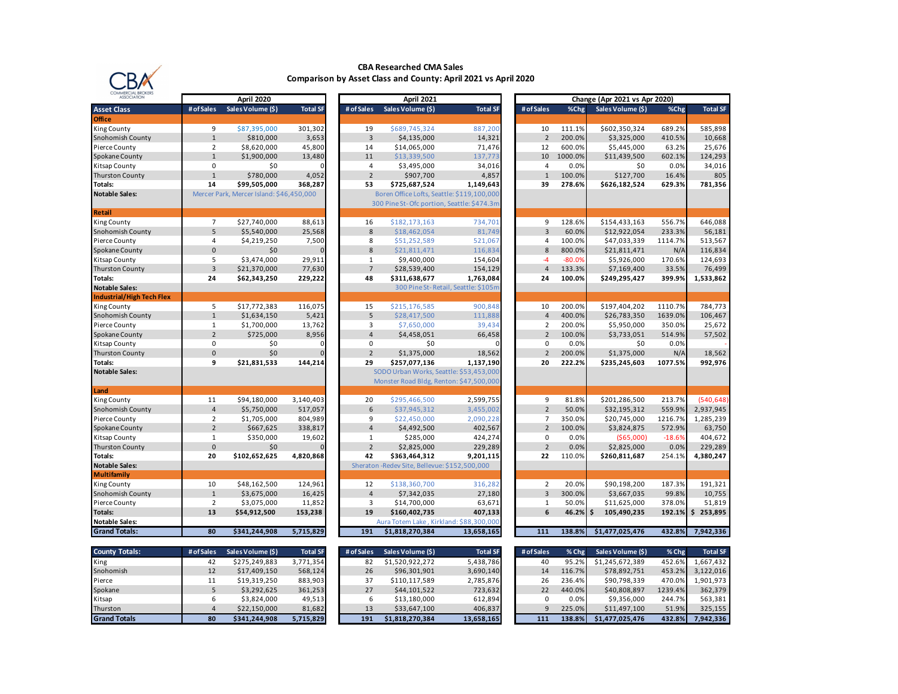

#### **CBA Researched CMA Sales Comparison by Asset Class and County: April 2021 vs April 2020**

| COMMERCIAL BROKERS<br>ASSOCIATION |                | April 2020                               |                 |                | Change (Apr 2021 vs Apr 2020)                 |                                     |                |          |                   |          |                 |
|-----------------------------------|----------------|------------------------------------------|-----------------|----------------|-----------------------------------------------|-------------------------------------|----------------|----------|-------------------|----------|-----------------|
| <b>Asset Class</b>                | # of Sales     | Sales Volume (\$)                        | <b>Total SF</b> | # of Sales     | April 2021<br>Sales Volume (\$)               | <b>Total SF</b>                     | # of Sales     | %Chg     | Sales Volume (\$) | %Chg     | <b>Total SF</b> |
| <b>Office</b>                     |                |                                          |                 |                |                                               |                                     |                |          |                   |          |                 |
| King County                       | 9              | \$87,395,000                             | 301,302         | 19             | \$689,745,324                                 | 887,200                             | 10             | 111.1%   | \$602,350,324     | 689.2%   | 585,898         |
| Snohomish County                  | $\mathbf{1}$   | \$810,000                                | 3,653           | $\overline{3}$ | \$4,135,000                                   | 14,321                              | $\overline{2}$ | 200.0%   | \$3,325,000       | 410.5%   | 10,668          |
| Pierce County                     | $\overline{2}$ | \$8,620,000                              | 45,800          | 14             | \$14,065,000                                  | 71,476                              | 12             | 600.0%   | \$5,445,000       | 63.2%    | 25,676          |
| Spokane County                    | $\overline{1}$ | \$1,900,000                              | 13,480          | 11             | \$13,339,500                                  | 137,773                             | 10             | 1000.0%  | \$11,439,500      | 602.1%   | 124,293         |
| Kitsap County                     | $\mathbf 0$    | \$0                                      |                 | $\overline{4}$ | \$3,495,000                                   | 34,016                              | $\overline{4}$ | 0.0%     | \$0               | 0.0%     | 34,016          |
| <b>Thurston County</b>            | $\overline{1}$ | \$780,000                                | 4,052           | $\overline{2}$ | \$907,700                                     | 4,857                               | $\mathbf{1}$   | 100.0%   | \$127,700         | 16.4%    | 805             |
| Totals:                           | 14             | \$99,505,000                             | 368,287         | 53             | \$725,687,524                                 | 1,149,643                           | 39             | 278.6%   | \$626,182,524     | 629.3%   | 781,356         |
| <b>Notable Sales:</b>             |                | Mercer Park, Mercer Island: \$46,450,000 |                 |                | Boren Office Lofts, Seattle: \$119,100,000    |                                     |                |          |                   |          |                 |
|                                   |                |                                          |                 |                | 300 Pine St-Ofc portion, Seattle: \$474.3m    |                                     |                |          |                   |          |                 |
| <b>Retail</b>                     |                |                                          |                 |                |                                               |                                     |                |          |                   |          |                 |
| King County                       | $\overline{7}$ | \$27,740,000                             | 88,613          | 16             | \$182,173,163                                 | 734,701                             | 9              | 128.6%   | \$154,433,163     | 556.7%   | 646,088         |
| Snohomish County                  | 5              | \$5,540,000                              | 25,568          | 8              | \$18,462,054                                  | 81,749                              | $\overline{3}$ | 60.0%    | \$12,922,054      | 233.3%   | 56,181          |
| Pierce County                     | $\overline{4}$ | \$4,219,250                              | 7,500           | 8              | \$51,252,589                                  | 521,06                              | $\overline{4}$ | 100.0%   | \$47,033,339      | 1114.7%  | 513,567         |
| Spokane County                    | $\mathbf{0}$   | \$0                                      |                 | 8              | \$21,811,471                                  | 116,83                              | 8              | 800.0%   | \$21,811,471      | N/A      | 116,834         |
| Kitsap County                     | 5              | \$3,474,000                              | 29,911          | 1              | \$9,400,000                                   | 154,604                             | $-4$           | $-80.0%$ | \$5,926,000       | 170.6%   | 124,693         |
| Thurston County                   | $\overline{3}$ | \$21,370,000                             | 77,630          | $\overline{7}$ | \$28,539,400                                  | 154,129                             | $\overline{4}$ | 133.3%   | \$7,169,400       | 33.5%    | 76,499          |
| Totals:                           | 24             | \$62,343,250                             | 229,222         | 48             | \$311,638,677                                 | 1,763,084                           | 24             | 100.0%   | \$249,295,427     | 399.9%   | 1,533,862       |
| <b>Notable Sales:</b>             |                |                                          |                 |                |                                               | 300 Pine St-Retail, Seattle: \$105m |                |          |                   |          |                 |
| <b>Industrial/High Tech Flex</b>  |                |                                          |                 |                |                                               |                                     |                |          |                   |          |                 |
| King County                       | 5              | \$17,772,383                             | 116,075         | 15             | \$215,176,585                                 | 900,848                             | 10             | 200.0%   | \$197,404,202     | 1110.7%  | 784,773         |
| Snohomish County                  | $\mathbf{1}$   | \$1,634,150                              | 5,421           | 5              | \$28,417,500                                  | 111,888                             | $\overline{4}$ | 400.0%   | \$26,783,350      | 1639.0%  | 106,467         |
| Pierce County                     | $\mathbf{1}$   | \$1,700,000                              | 13,762          | 3              | \$7,650,000                                   | 39,434                              | $\overline{2}$ | 200.0%   | \$5,950,000       | 350.0%   | 25,672          |
| Spokane County                    | $\overline{2}$ | \$725,000                                | 8,956           | $\overline{4}$ | \$4,458,051                                   | 66,458                              | $\overline{2}$ | 100.0%   | \$3,733,051       | 514.9%   | 57,502          |
| Kitsap County                     | 0              | \$0                                      |                 | 0              | \$0                                           |                                     | 0              | 0.0%     | \$0               | 0.0%     |                 |
| Thurston County                   | $\pmb{0}$      | \$0                                      |                 | $\overline{2}$ | \$1,375,000                                   | 18,562                              | $\overline{2}$ | 200.0%   | \$1,375,000       | N/A      | 18,562          |
| Totals:                           | 9              | \$21,831,533                             | 144,214         | 29             | \$257,077,136                                 | 1,137,190                           | 20             | 222.2%   | \$235,245,603     | 1077.5%  | 992,976         |
| <b>Notable Sales:</b>             |                |                                          |                 |                | SODO Urban Works, Seattle: \$53,453,000       |                                     |                |          |                   |          |                 |
|                                   |                |                                          |                 |                | Monster Road Bldg, Renton: \$47,500,000       |                                     |                |          |                   |          |                 |
| Land                              |                |                                          |                 |                |                                               |                                     |                |          |                   |          |                 |
| King County                       | 11             | \$94,180,000                             | 3,140,403       | 20             | \$295,466,500                                 | 2,599,755                           | 9              | 81.8%    | \$201,286,500     | 213.7%   | (540, 648)      |
| Snohomish County                  | $\overline{4}$ | \$5,750,000                              | 517,057         | 6              | \$37,945,312                                  | 3,455,002                           | $\overline{2}$ | 50.0%    | \$32,195,312      | 559.9%   | 2,937,945       |
| Pierce County                     | $\overline{2}$ | \$1,705,000                              | 804,989         | 9              | \$22,450,000                                  | 2,090,228                           | $\overline{7}$ | 350.0%   | \$20,745,000      | 1216.7%  | 1,285,239       |
| Spokane County                    | $\overline{2}$ | \$667,625                                | 338,817         | $\overline{4}$ | \$4,492,500                                   | 402,567                             | $\overline{2}$ | 100.0%   | \$3,824,875       | 572.9%   | 63,750          |
| Kitsap County                     | $\mathbf{1}$   | \$350,000                                | 19,602          | $\mathbf{1}$   | \$285,000                                     | 424,274                             | $\mathbf 0$    | 0.0%     | (\$65,000)        | $-18.6%$ | 404,672         |
| <b>Thurston County</b>            | $\mathbf{0}$   | \$0                                      |                 | $\overline{2}$ | \$2,825,000                                   | 229,289                             | $\overline{2}$ | 0.0%     | \$2,825,000       | 0.0%     | 229,289         |
| Totals:                           | 20             | \$102,652,625                            | 4,820,868       | 42             | \$363,464,312                                 | 9,201,115                           | 22             | 110.0%   | \$260,811,687     | 254.1%   | 4,380,247       |
| <b>Notable Sales:</b>             |                |                                          |                 |                | Sheraton -Redev Site, Bellevue: \$152,500,000 |                                     |                |          |                   |          |                 |
| <b>Multifamily</b>                |                |                                          |                 |                |                                               |                                     |                |          |                   |          |                 |
| King County                       | 10             | \$48,162,500                             | 124,961         | 12             | \$138,360,700                                 | 316,282                             | $\overline{2}$ | 20.0%    | \$90,198,200      | 187.3%   | 191,321         |
| Snohomish County                  | $\mathbf{1}$   | \$3,675,000                              | 16,42           | $\overline{4}$ | \$7,342,035                                   | 27,180                              | $\overline{3}$ | 300.0%   | \$3,667,035       | 99.8%    | 10,755          |
| Pierce County                     | $\overline{2}$ | \$3,075,000                              | 11,852          | 3              | \$14,700,000                                  | 63,671                              | 1              | 50.0%    | \$11,625,000      | 378.0%   | 51,819          |
| Totals:                           | 13             | \$54,912,500                             | 153,238         | 19             | \$160,402,735                                 | 407,133                             | 6              | 46.2%    | \$<br>105,490,235 | 192.1%   | \$253,895       |
| <b>Notable Sales:</b>             |                |                                          |                 |                | Aura Totem Lake, Kirkland: \$88,300,000       |                                     |                |          |                   |          |                 |
| <b>Grand Totals:</b>              | 80             | \$341,244,908                            | 5,715,829       | 191            | \$1,818,270,384                               | 13,658,165                          | 111            | 138.8%   | \$1,477,025,476   | 432.8%   | 7,942,336       |
|                                   |                |                                          |                 |                |                                               |                                     |                |          |                   |          |                 |
| <b>County Totals:</b>             | # of Sales     | Sales Volume (\$)                        | <b>Total SF</b> | # of Sales     | Sales Volume (\$)                             | <b>Total SF</b>                     | # of Sales     | % Chg    | Sales Volume (\$) | % Chg    | <b>Total SF</b> |
| King                              | 42             | \$275,249,883                            | 3,771,354       | 82             | \$1,520,922,272                               | 5,438,786                           | 40             | 95.2%    | \$1,245,672,389   | 452.6%   | 1,667,432       |
| Snohomish                         | 12             | \$17,409,150                             | 568,124         | 26             | \$96,301,901                                  | 3,690,140                           | 14             | 116.7%   | \$78,892,751      | 453.2%   | 3,122,016       |
| Pierce                            | 11             | \$19,319,250                             | 883,903         | 37             | \$110,117,589                                 | 2,785,876                           | 26             | 236.4%   | \$90,798,339      | 470.0%   | 1,901,973       |
| Spokane                           | 5              | \$3,292,625                              | 361,253         | 27             | \$44,101,522                                  | 723,632                             | 22             | 440.0%   | \$40,808,897      | 1239.4%  | 362,379         |
| Kitsap                            | 6              | \$3,824,000                              | 49,513          | 6              | \$13,180,000                                  | 612,894                             | $\mathbf 0$    | 0.0%     | \$9,356,000       | 244.7%   | 563,381         |
| Thurston                          | $\overline{4}$ | \$22,150,000                             | 81,682          | 13             | \$33,647,100                                  | 406,837                             | $\overline{9}$ | 225.0%   | \$11,497,100      | 51.9%    | 325,155         |
| <b>Grand Totals</b>               | 80             | \$341,244,908                            |                 |                |                                               |                                     |                |          |                   |          |                 |
|                                   |                |                                          | 5,715,829       | 191            | \$1,818,270,384                               | 13,658,165                          | 111            | 138.8%   | \$1,477,025,476   | 432.8%   | 7,942,336       |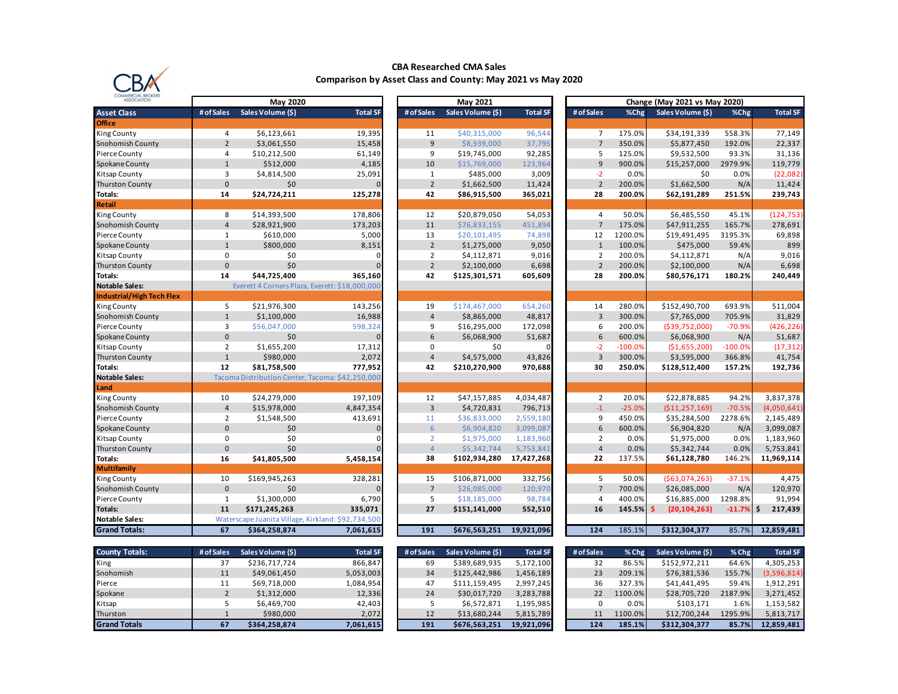

## **CBA Researched CMA Sales Comparison by Asset Class and County: May 2021 vs May 2020**

| COMMERCIAL BROKERS<br><b>ASSOCIATION</b> | May 2020       |                                                    |                 | May 2021       |                   |                 | Change (May 2021 vs May 2020) |           |                       |           |                 |
|------------------------------------------|----------------|----------------------------------------------------|-----------------|----------------|-------------------|-----------------|-------------------------------|-----------|-----------------------|-----------|-----------------|
| <b>Asset Class</b>                       | # of Sales     | Sales Volume (\$)                                  | <b>Total SF</b> | # of Sales     | Sales Volume (\$) | <b>Total SF</b> | # of Sales                    | %Chg      | Sales Volume (\$)     | %Chg      | <b>Total SF</b> |
| <b>Office</b>                            |                |                                                    |                 |                |                   |                 |                               |           |                       |           |                 |
| <b>King County</b>                       | 4              | \$6,123,661                                        | 19,395          | 11             | \$40,315,000      | 96,544          | $\overline{7}$                | 175.0%    | \$34,191,339          | 558.3%    | 77,149          |
| Snohomish County                         | $\overline{2}$ | \$3,061,550                                        | 15,458          | $\overline{9}$ | \$8,939,000       | 37,795          | $\overline{7}$                | 350.0%    | \$5,877,450           | 192.0%    | 22,337          |
| Pierce County                            | 4              | \$10,212,500                                       | 61,149          | 9              | \$19,745,000      | 92,285          | 5                             | 125.0%    | \$9,532,500           | 93.3%     | 31,136          |
| Spokane County                           | $\mathbf{1}$   | \$512,000                                          | 4,185           | 10             | \$15,769,000      | 123,964         | 9                             | 900.0%    | \$15,257,000          | 2979.9%   | 119,779         |
| Kitsap County                            | 3              | \$4,814,500                                        | 25,091          | $\mathbf{1}$   | \$485,000         | 3,009           | $-2$                          | 0.0%      | \$0                   | 0.0%      | (22, 082)       |
| <b>Thurston County</b>                   | $\mathbf{0}$   | \$0                                                | $\Omega$        | $\overline{2}$ | \$1,662,500       | 11,424          | $\overline{2}$                | 200.0%    | \$1,662,500           | N/A       | 11,424          |
| Totals:                                  | 14             | \$24,724,211                                       | 125,278         | 42             | \$86,915,500      | 365,021         | 28                            | 200.0%    | \$62,191,289          | 251.5%    | 239,743         |
| Retail                                   |                |                                                    |                 |                |                   |                 |                               |           |                       |           |                 |
| King County                              | 8              | \$14,393,500                                       | 178,806         | 12             | \$20,879,050      | 54,053          | 4                             | 50.0%     | \$6,485,550           | 45.1%     | (124, 753)      |
| Snohomish County                         | $\sqrt{4}$     | \$28,921,900                                       | 173,203         | 11             | \$76,833,155      | 451,894         | $\overline{7}$                | 175.0%    | \$47,911,255          | 165.7%    | 278,691         |
| Pierce County                            | 1              | \$610,000                                          | 5,000           | 13             | \$20,101,495      | 74,898          | 12                            | 1200.0%   | \$19,491,495          | 3195.3%   | 69,898          |
| Spokane County                           | $\mathbf{1}$   | \$800,000                                          | 8,151           | $\overline{2}$ | \$1,275,000       | 9,050           | $\mathbf{1}$                  | 100.0%    | \$475,000             | 59.4%     | 899             |
| Kitsap County                            | 0              | \$0                                                | $\Omega$        | $\overline{2}$ | \$4,112,871       | 9,016           | $\overline{2}$                | 200.0%    | \$4,112,871           | N/A       | 9,016           |
| <b>Thurston County</b>                   | $\mathbf{0}$   | \$0                                                | $\Omega$        | $\overline{2}$ | \$2,100,000       | 6,698           | $\overline{2}$                | 200.0%    | \$2,100,000           | N/A       | 6,698           |
| Totals:                                  | 14             | \$44,725,400                                       | 365,160         | 42             | \$125,301,571     | 605,609         | 28                            | 200.0%    | \$80,576,171          | 180.2%    | 240,449         |
| <b>Notable Sales:</b>                    |                | Everett 4 Corners Plaza, Everett: \$18,000,000     |                 |                |                   |                 |                               |           |                       |           |                 |
| Industrial/High Tech Flex                |                |                                                    |                 |                |                   |                 |                               |           |                       |           |                 |
| <b>King County</b>                       | 5              | \$21,976,300                                       | 143,256         | 19             | \$174,467,000     | 654,260         | 14                            | 280.0%    | \$152,490,700         | 693.9%    | 511,004         |
| Snohomish County                         | $\mathbf{1}$   | \$1,100,000                                        | 16,988          | $\overline{4}$ | \$8,865,000       | 48,817          | $\overline{3}$                | 300.0%    | \$7,765,000           | 705.9%    | 31,829          |
| Pierce County                            | 3              | \$56,047,000                                       | 598,324         | 9              | \$16,295,000      | 172,098         | 6                             | 200.0%    | ( \$39,752,000]       | $-70.9%$  | (426, 226)      |
| Spokane County                           | $\pmb{0}$      | \$0                                                |                 | 6              | \$6,068,900       | 51,687          | 6                             | 600.0%    | \$6,068,900           | N/A       | 51,687          |
| Kitsap County                            | $\overline{2}$ | \$1,655,200                                        | 17,312          | 0              | \$0               |                 | $-2$                          | $-100.0%$ | (\$1,655,200)         | $-100.0%$ | (17, 312)       |
| <b>Thurston County</b>                   | $\mathbf{1}$   | \$980,000                                          | 2,072           | $\overline{4}$ | \$4,575,000       | 43,826          | 3                             | 300.0%    | \$3,595,000           | 366.8%    | 41,754          |
| Totals:                                  | 12             | \$81,758,500                                       | 777,952         | 42             | \$210,270,900     | 970,688         | 30                            | 250.0%    | \$128,512,400         | 157.2%    | 192,736         |
| <b>Notable Sales:</b>                    |                | Tacoma Distribution Center, Tacoma: \$42,250,000   |                 |                |                   |                 |                               |           |                       |           |                 |
| Land                                     |                |                                                    |                 |                |                   |                 |                               |           |                       |           |                 |
| King County                              | 10             | \$24,279,000                                       | 197,109         | 12             | \$47,157,885      | 4,034,487       | $\overline{2}$                | 20.0%     | \$22,878,885          | 94.2%     | 3,837,378       |
| Snohomish County                         | $\overline{4}$ | \$15,978,000                                       | 4,847,354       | $\overline{3}$ | \$4,720,831       | 796,713         | $-1$                          | $-25.0%$  | ( \$11, 257, 169)     | $-70.5%$  | (4,050,641)     |
| Pierce County                            | $\overline{2}$ | \$1,548,500                                        | 413,691         | 11             | \$36,833,000      | 2,559,180       | 9                             | 450.0%    | \$35,284,500          | 2278.6%   | 2,145,489       |
| Spokane County                           | $\mathbf{0}$   | \$0                                                | $\Omega$        | 6              | \$6,904,820       | 3,099,087       | 6                             | 600.0%    | \$6,904,820           | N/A       | 3,099,087       |
| Kitsap County                            | 0              | \$0                                                | $\Omega$        | $\overline{2}$ | \$1,975,000       | 1,183,960       | $\overline{2}$                | 0.0%      | \$1,975,000           | 0.0%      | 1,183,960       |
| Thurston County                          | $\Omega$       | \$0                                                |                 | $\overline{4}$ | \$5,342,744       | 5,753,841       | $\overline{4}$                | 0.0%      | \$5,342,744           | 0.0%      | 5,753,841       |
| Totals:                                  | 16             | \$41,805,500                                       | 5,458,154       | 38             | \$102,934,280     | 17,427,268      | 22                            | 137.5%    | \$61,128,780          | 146.2%    | 11,969,114      |
| Multifamily                              |                |                                                    |                 |                |                   |                 |                               |           |                       |           |                 |
| <b>King County</b>                       | 10             | \$169,945,263                                      | 328,281         | 15             | \$106,871,000     | 332,756         | 5                             | 50.0%     | (563,074,263)         | $-37.1%$  | 4,475           |
| Snohomish County                         | $\mathbf{0}$   | \$0                                                | $\Omega$        | $7^{\circ}$    | \$26,085,000      | 120,970         | $\overline{7}$                | 700.0%    | \$26,085,000          | N/A       | 120,970         |
| Pierce County                            | 1              | \$1,300,000                                        | 6,790           | 5              | \$18,185,000      | 98,784          | 4                             | 400.0%    | \$16,885,000          | 1298.8%   | 91,994          |
| Totals:                                  | 11             | \$171,245,263                                      | 335,071         | 27             | \$151,141,000     | 552,510         | 16                            | 145.5%    | -\$<br>(20, 104, 263) | $-11.7%$  | \$<br>217,439   |
| <b>Notable Sales:</b>                    |                | Waterscape Juanita Village, Kirkland: \$92,734,500 |                 |                |                   |                 |                               |           |                       |           |                 |
| <b>Grand Totals:</b>                     | 67             | \$364,258,874                                      | 7,061,615       | 191            | \$676,563,251     | 19,921,096      | 124                           | 185.1%    | \$312,304,377         | 85.7%     | 12,859,481      |
|                                          |                |                                                    |                 |                |                   |                 |                               |           |                       |           |                 |
| <b>County Totals:</b>                    | # of Sales     | Sales Volume (\$)                                  | <b>Total SF</b> | # of Sales     | Sales Volume (\$) | <b>Total SF</b> | # of Sales                    | % Chg     | Sales Volume (\$)     | % Chg     | <b>Total SF</b> |
| King                                     | 37             | \$236,717,724                                      | 866,847         | 69             | \$389,689,935     | 5,172,100       | 32                            | 86.5%     | \$152,972,211         | 64.6%     | 4,305,253       |
| Snohomish                                | 11             | \$49,061,450                                       | 5,053,003       | 34             | \$125,442,986     | 1,456,189       | 23                            | 209.1%    | \$76,381,536          | 155.7%    | (3,596,814)     |
| Pierce                                   | 11             | \$69,718,000                                       | 1,084,954       | 47             | \$111,159,495     | 2,997,245       | 36                            | 327.3%    | \$41,441,495          | 59.4%     | 1,912,291       |
| Spokane                                  | $\overline{2}$ | \$1,312,000                                        | 12,336          | 24             | \$30,017,720      | 3,283,788       | 22                            | 1100.0%   | \$28,705,720          | 2187.9%   | 3,271,452       |
| Kitsap                                   | 5              | \$6,469,700                                        | 42,403          | 5              | \$6,572,871       | 1,195,985       | $\Omega$                      | 0.0%      | \$103,171             | 1.6%      | 1,153,582       |

Thurston 1 \$980,000 2,072 12 \$13,680,244 5,815,789 11 1100.0% \$12,700,244 1295.9% 5,813,717 **Grand Totals 67 \$364,258,874 7,061,615 191 \$676,563,251 19,921,096 124 185.1% \$312,304,377 85.7% 12,859,481**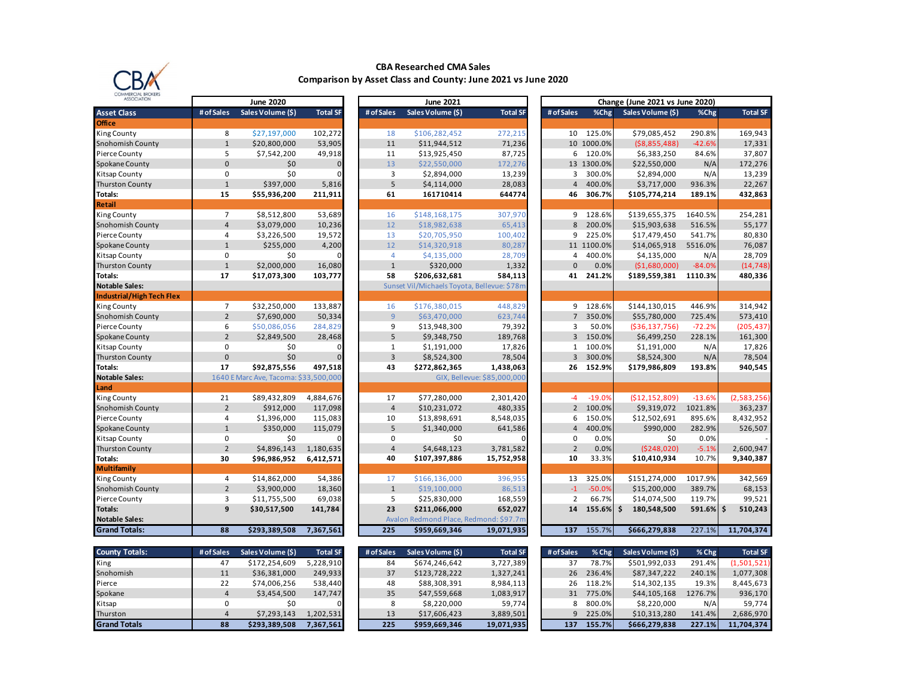

## **CBA Researched CMA Sales Comparison by Asset Class and County: June 2021 vs June 2020**

| <b>ASSOCIATION</b>               | <b>June 2020</b><br><b>June 2021</b> |                                       |                 | Change (June 2021 vs June 2020) |                |                                             |                             |  |                  |            |                   |              |                 |
|----------------------------------|--------------------------------------|---------------------------------------|-----------------|---------------------------------|----------------|---------------------------------------------|-----------------------------|--|------------------|------------|-------------------|--------------|-----------------|
| <b>Asset Class</b>               | # of Sales                           | Sales Volume (\$)                     | <b>Total SF</b> | # of Sales                      |                | Sales Volume (\$)                           | <b>Total SF</b>             |  | # of Sales       | %Chg       | Sales Volume (\$) | %Chg         | <b>Total SF</b> |
| <b>Office</b>                    |                                      |                                       |                 |                                 |                |                                             |                             |  |                  |            |                   |              |                 |
| <b>King County</b>               | 8                                    | \$27,197,000                          | 102,272         |                                 | 18             | \$106,282,452                               | 272,215                     |  |                  | 10 125.0%  | \$79,085,452      | 290.8%       | 169,943         |
| Snohomish County                 | $1\,$                                | \$20,800,000                          | 53,905          |                                 | 11             | \$11,944,512                                | 71,236                      |  |                  | 10 1000.0% | ( \$8,855,488)    | $-42.6%$     | 17,331          |
| Pierce County                    | 5                                    | \$7,542,200                           | 49,918          |                                 | 11             | \$13,925,450                                | 87,725                      |  | 6                | 120.0%     | \$6,383,250       | 84.6%        | 37,807          |
| Spokane County                   | 0                                    | \$0                                   | $\Omega$        |                                 | 13             | \$22,550,000                                | 172,276                     |  |                  | 13 1300.0% | \$22,550,000      | N/A          | 172,276         |
| Kitsap County                    | 0                                    | \$0                                   |                 |                                 | 3              | \$2,894,000                                 | 13,239                      |  | 3                | 300.0%     | \$2,894,000       | N/A          | 13,239          |
| <b>Thurston County</b>           | $\mathbf{1}$                         | \$397,000                             | 5,816           |                                 | 5              | \$4,114,000                                 | 28,083                      |  | $\overline{4}$   | 400.0%     | \$3,717,000       | 936.3%       | 22,267          |
| Totals:                          | 15                                   | \$55,936,200                          | 211,911         |                                 | 61             | 161710414                                   | 644774                      |  | 46               | 306.7%     | \$105,774,214     | 189.1%       | 432,863         |
| <b>Retail</b>                    |                                      |                                       |                 |                                 |                |                                             |                             |  |                  |            |                   |              |                 |
| King County                      | $\overline{7}$                       | \$8,512,800                           | 53,689          |                                 | 16             | \$148,168,175                               | 307,970                     |  | 9                | 128.6%     | \$139,655,375     | 1640.5%      | 254,281         |
| Snohomish County                 | $\overline{4}$                       | \$3,079,000                           | 10,236          |                                 | 12             | \$18,982,638                                | 65,413                      |  | 8                | 200.0%     | \$15,903,638      | 516.5%       | 55,177          |
| Pierce County                    | 4                                    | \$3,226,500                           | 19,572          |                                 | 13             | \$20,705,950                                | 100,402                     |  | 9                | 225.0%     | \$17,479,450      | 541.7%       | 80,830          |
| Spokane County                   | $\mathbf{1}$                         | \$255,000                             | 4,200           |                                 | 12             | \$14,320,918                                | 80,287                      |  |                  | 11 1100.0% | \$14,065,918      | 5516.0%      | 76,087          |
| Kitsap County                    | $\mathsf 0$                          | \$0                                   |                 |                                 | $\overline{4}$ | \$4,135,000                                 | 28,709                      |  | $\overline{4}$   | 400.0%     | \$4,135,000       | N/A          | 28,709          |
| <b>Thurston County</b>           | $\mathbf 1$                          | \$2,000,000                           | 16,080          |                                 | $\mathbf{1}$   | \$320,000                                   | 1,332                       |  | $\Omega$         | 0.0%       | (\$1,680,000]     | $-84.0%$     | (14, 748)       |
| Totals:                          | 17                                   | \$17,073,300                          | 103,777         |                                 | 58             | \$206,632,681                               | 584,113                     |  | 41               | 241.2%     | \$189,559,381     | 1110.3%      | 480,336         |
| <b>Notable Sales:</b>            |                                      |                                       |                 |                                 |                | Sunset Vil/Michaels Toyota, Bellevue: \$78m |                             |  |                  |            |                   |              |                 |
| <b>Industrial/High Tech Flex</b> |                                      |                                       |                 |                                 |                |                                             |                             |  |                  |            |                   |              |                 |
| <b>King County</b>               | $\overline{7}$                       | \$32,250,000                          | 133,887         |                                 | 16             | \$176,380,015                               | 448,829                     |  |                  | 9 128.6%   | \$144,130,015     | 446.9%       | 314,942         |
| Snohomish County                 | $\overline{2}$                       | \$7,690,000                           | 50,334          |                                 | $\overline{9}$ | \$63,470,000                                | 623,744                     |  | $\overline{7}$   | 350.0%     | \$55,780,000      | 725.4%       | 573,410         |
| Pierce County                    | 6                                    | \$50,086,056                          | 284,829         |                                 | 9              | \$13,948,300                                | 79,392                      |  | 3                | 50.0%      | ( \$36, 137, 756) | $-72.2%$     | (205, 437)      |
| Spokane County                   | $\overline{2}$                       | \$2,849,500                           | 28,468          |                                 | 5              | \$9,348,750                                 | 189,768                     |  | $\overline{3}$   | 150.0%     | \$6,499,250       | 228.1%       | 161,300         |
| Kitsap County                    | $\mathbf 0$                          | \$0                                   | O               |                                 | 1              | \$1,191,000                                 | 17,826                      |  | $\mathbf{1}$     | 100.0%     | \$1,191,000       | N/A          | 17,826          |
| <b>Thurston County</b>           | $\Omega$                             | \$0                                   |                 |                                 | $\overline{3}$ | \$8,524,300                                 | 78,504                      |  | 3                | 300.0%     | \$8,524,300       | N/A          | 78,504          |
| Totals:                          | 17                                   | \$92,875,556                          | 497,518         |                                 | 43             | \$272,862,365                               | 1,438,063                   |  | 26               | 152.9%     | \$179,986,809     | 193.8%       | 940,545         |
| <b>Notable Sales:</b>            |                                      | 1640 E Marc Ave, Tacoma: \$33,500,000 |                 |                                 |                |                                             | GIX, Bellevue: \$85,000,000 |  |                  |            |                   |              |                 |
| Land                             |                                      |                                       |                 |                                 |                |                                             |                             |  |                  |            |                   |              |                 |
| King County                      | 21                                   | \$89,432,809                          | 4,884,676       |                                 | 17             | \$77,280,000                                | 2,301,420                   |  | $-4$             | $-19.0%$   | (\$12,152,809)    | $-13.6%$     | (2,583,256)     |
| Snohomish County                 | $\overline{2}$                       | \$912,000                             | 117,098         |                                 | $\overline{4}$ | \$10,231,072                                | 480,335                     |  | $2^{\circ}$      | 100.0%     | \$9,319,072       | 1021.8%      | 363,237         |
| Pierce County                    | 4                                    | \$1,396,000                           | 115,083         |                                 | 10             | \$13,898,691                                | 8,548,035                   |  | 6                | 150.0%     | \$12,502,691      | 895.6%       | 8,432,952       |
| Spokane County                   | $\mathbf{1}$                         | \$350,000                             | 115,079         |                                 | 5              | \$1,340,000                                 | 641,586                     |  | $\overline{4}$   | 400.0%     | \$990,000         | 282.9%       | 526,507         |
| Kitsap County                    | 0                                    | \$0                                   |                 |                                 | 0              | \$0                                         |                             |  | $\mathbf 0$      | 0.0%       | \$0               | 0.0%         |                 |
| <b>Thurston County</b>           | $\overline{2}$                       | \$4,896,143                           | 1,180,635       |                                 | $\overline{4}$ | \$4,648,123                                 | 3,781,582                   |  | $\overline{2}$   | 0.0%       | ( \$248, 020]     | $-5.1%$      | 2,600,947       |
| Totals:                          | 30                                   | \$96,986,952                          | 6,412,571       |                                 | 40             | \$107,397,886                               | 15,752,958                  |  | 10               | 33.3%      | \$10,410,934      | 10.7%        | 9,340,387       |
| <b>Multifamily</b>               |                                      |                                       |                 |                                 |                |                                             |                             |  |                  |            |                   |              |                 |
| King County                      | 4                                    | \$14,862,000                          | 54,386          |                                 | 17             | \$166,136,000                               | 396,955                     |  | 13               | 325.0%     | \$151,274,000     | 1017.9%      | 342,569         |
| Snohomish County                 | $\overline{2}$                       | \$3,900,000                           | 18,360          |                                 | $\mathbf{1}$   | \$19,100,000                                | 86,513                      |  | $-1$             | $-50.0%$   | \$15,200,000      | 389.7%       | 68,153          |
| Pierce County                    | 3                                    | \$11,755,500                          | 69,038          |                                 | 5              | \$25,830,000                                | 168,559                     |  | $\overline{2}$   | 66.7%      | \$14,074,500      | 119.7%       | 99,521          |
| Totals:                          | 9                                    | \$30,517,500                          | 141,784         |                                 | 23             | \$211,066,000                               | 652,027                     |  | 14               | 155.6%     | \$<br>180,548,500 | $591.6\%$ \$ | 510,243         |
| <b>Notable Sales:</b>            |                                      |                                       |                 |                                 |                | Avalon Redmond Place, Redmond: \$97.7m      |                             |  |                  |            |                   |              |                 |
| <b>Grand Totals:</b>             | 88                                   | \$293,389,508                         | 7,367,561       |                                 | 225            | \$959,669,346                               | 19,071,935                  |  | $\overline{137}$ | 155.7%     | \$666,279,838     | 227.1%       | 11,704,374      |
|                                  |                                      |                                       |                 |                                 |                |                                             |                             |  |                  |            |                   |              |                 |
| <b>County Totals:</b>            | # of Sales                           | Sales Volume (\$)                     | <b>Total SF</b> | # of Sales                      |                | Sales Volume (\$)                           | <b>Total SF</b>             |  | # of Sales       | % Chg      | Sales Volume (\$) | % Chg        | <b>Total SF</b> |
| King                             | 47                                   | \$172,254,609                         | 5,228,910       |                                 | 84             | \$674,246,642                               | 3,727,389                   |  | 37               | 78.7%      | \$501,992,033     | 291.4%       | (1,501,521)     |
| Snohomish                        | 11                                   | \$36,381,000                          | 249,933         |                                 | 37             | \$123,728,222                               | 1,327,241                   |  | 26               | 236.4%     | \$87,347,222      | 240.1%       | 1,077,308       |
| Pierce                           | 22                                   | \$74,006,256                          | 538,440         |                                 | 48             | \$88,308,391                                | 8,984,113                   |  | 26               | 118.2%     | \$14,302,135      | 19.3%        | 8,445,673       |
| Spokane                          | $\overline{4}$                       | \$3,454,500                           | 147,747         |                                 | 35             | \$47,559,668                                | 1,083,917                   |  | 31               | 775.0%     | \$44,105,168      | 1276.7%      | 936,170         |
| Kitsap                           | $\mathbf 0$                          | \$0                                   |                 |                                 | 8              | \$8,220,000                                 | 59,774                      |  | 8                | 800.0%     | \$8,220,000       | N/A          | 59,774          |
| Thurston                         | $\overline{4}$                       | \$7,293,143                           | 1,202,531       |                                 | 13             | \$17,606,423                                | 3,889,501                   |  | 9                | 225.0%     | \$10,313,280      | 141.4%       | 2,686,970       |
| <b>Grand Totals</b>              | 88                                   | \$293,389,508                         | 7,367,561       |                                 | 225            | \$959,669,346                               | 19,071,935                  |  | 137              | 155.7%     | \$666,279,838     | 227.1%       | 11,704,374      |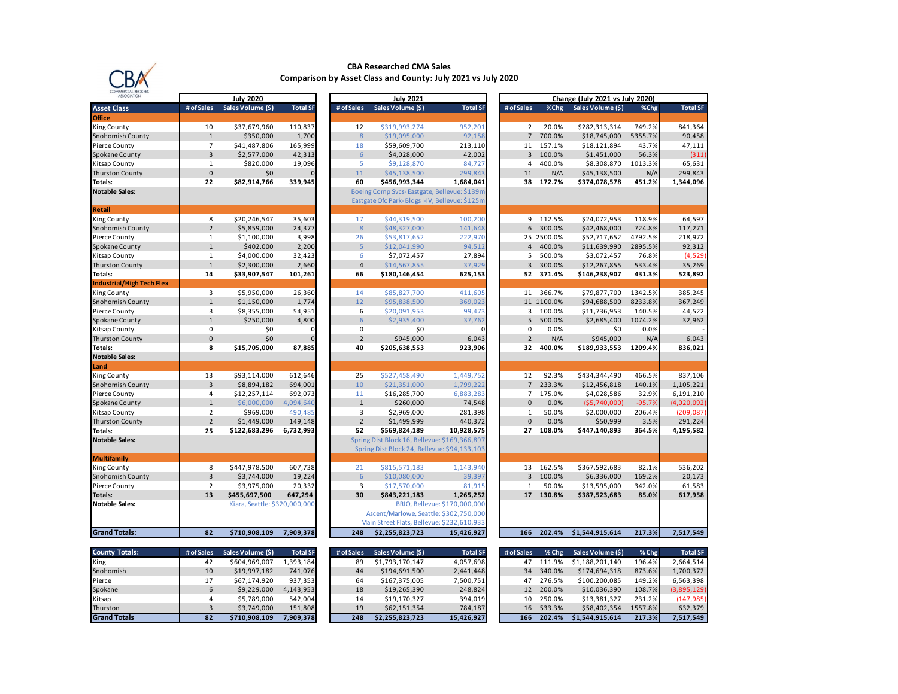

#### **CBA Researched CMA Sales Comparison by Asset Class and County: July 2021 vs July 2020**

| WINDRUIAL BRUINDR3               |                |                               |                 |                  |                                                |                               |                 |            |                                 |          |                 |
|----------------------------------|----------------|-------------------------------|-----------------|------------------|------------------------------------------------|-------------------------------|-----------------|------------|---------------------------------|----------|-----------------|
| <b>ASSOCIATION</b>               |                | <b>July 2020</b>              |                 |                  | <b>July 2021</b>                               |                               |                 |            | Change (July 2021 vs July 2020) |          |                 |
| <b>Asset Class</b>               | # of Sales     | Sales Volume (\$)             | <b>Total SF</b> | # of Sales       | Sales Volume (\$)                              | <b>Total SF</b>               | # of Sales      | %Chg       | Sales Volume (\$)               | %Chg     | <b>Total SF</b> |
| <b>Office</b>                    |                |                               |                 |                  |                                                |                               |                 |            |                                 |          |                 |
| King County                      | 10             | \$37,679,960                  | 110,837         | 12               | \$319,993,274                                  | 952,201                       | $\overline{2}$  | 20.0%      | \$282,313,314                   | 749.2%   | 841,364         |
| Snohomish County                 | $\mathbf{1}$   | \$350,000                     | 1,700           | 8                | \$19,095,000                                   | 92,158                        | $7\overline{ }$ | 700.0%     | \$18,745,000                    | 5355.7%  | 90,458          |
| Pierce County                    | $\overline{7}$ | \$41,487,806                  | 165,999         | 18               | \$59,609,700                                   | 213,110                       | 11              | 157.1%     | \$18,121,894                    | 43.7%    | 47,111          |
| Spokane County                   | $\overline{3}$ | \$2,577,000                   | 42,313          | 6                | \$4,028,000                                    | 42,002                        | $\overline{3}$  | 100.0%     | \$1,451,000                     | 56.3%    | (311)           |
| Kitsap County                    | 1              | \$820,000                     | 19,096          | 5                | \$9,128,870                                    | 84,727                        | 4               | 400.0%     | \$8,308,870                     | 1013.3%  | 65,631          |
| <b>Thurston County</b>           | $\mathbf 0$    | \$0                           |                 | 11               | \$45,138,500                                   | 299,843                       | 11              | N/A        | \$45,138,500                    | N/A      | 299,843         |
| Totals:                          | 22             | \$82,914,766                  | 339,945         | 60               | \$456,993,344                                  | 1,684,041                     | 38              | 172.7%     | \$374,078,578                   | 451.2%   | 1,344,096       |
| <b>Notable Sales:</b>            |                |                               |                 |                  | Boeing Comp Svcs-Eastgate, Bellevue: \$139m    |                               |                 |            |                                 |          |                 |
|                                  |                |                               |                 |                  | Eastgate Ofc Park-Bldgs I-IV, Bellevue: \$125m |                               |                 |            |                                 |          |                 |
| Retail                           |                |                               |                 |                  |                                                |                               |                 |            |                                 |          |                 |
| King County                      | 8              | \$20,246,547                  | 35,603          | 17               | \$44,319,500                                   | 100,200                       | 9               | 112.5%     | \$24,072,953                    | 118.9%   | 64,597          |
| Snohomish County                 | $\overline{2}$ | \$5,859,000                   | 24,377          | $\boldsymbol{8}$ | \$48,327,000                                   | 141,648                       | 6               | 300.0%     | \$42,468,000                    | 724.8%   | 117,271         |
| Pierce County                    | $\mathbf{1}$   | \$1,100,000                   | 3,998           | 26               | \$53,817,652                                   | 222,970                       |                 | 25 2500.0% | \$52,717,652                    | 4792.5%  | 218,972         |
| Spokane County                   | $\mathbf{1}$   | \$402,000                     | 2,200           | 5                | \$12,041,990                                   | 94,512                        | $\overline{4}$  | 400.0%     | \$11,639,990                    | 2895.5%  | 92,312          |
| Kitsap County                    | 1              | \$4,000,000                   | 32,423          | 6                | \$7,072,457                                    | 27,894                        | 5               | 500.0%     | \$3,072,457                     | 76.8%    | (4,529)         |
| <b>Thurston County</b>           | $\mathbf{1}$   | \$2,300,000                   | 2,660           | $\overline{a}$   | \$14,567,855                                   | 37,929                        | 3               | 300.0%     | \$12,267,855                    | 533.4%   | 35,269          |
| Totals:                          | 14             | \$33,907,547                  | 101,261         | 66               | \$180,146,454                                  | 625,153                       | 52              | 371.4%     | \$146,238,907                   | 431.3%   | 523,892         |
| <b>Industrial/High Tech Flex</b> |                |                               |                 |                  |                                                |                               |                 |            |                                 |          |                 |
| King County                      | $\overline{3}$ | \$5,950,000                   | 26,360          | 14               | \$85,827,700                                   | 411.605                       | 11              | 366.7%     | \$79,877,700                    | 1342.5%  | 385,245         |
| Snohomish County                 | $\mathbf{1}$   | \$1,150,000                   | 1,774           | 12               | \$95,838,500                                   | 369,023                       |                 | 11 1100.0% | \$94,688,500                    | 8233.8%  | 367,249         |
| Pierce County                    | 3              | \$8,355,000                   | 54,951          | 6                | \$20,091,953                                   | 99,473                        | 3               | 100.0%     | \$11,736,953                    | 140.5%   | 44,522          |
| Spokane County                   | $\mathbf{1}$   | \$250,000                     | 4,800           | $6\phantom{1}6$  | \$2,935,400                                    | 37,762                        | 5               | 500.0%     | \$2,685,400                     | 1074.2%  | 32,962          |
| Kitsap County                    | $\pmb{0}$      | \$0                           |                 | 0                | \$0                                            | n                             | 0               | 0.0%       | \$0                             | 0.0%     |                 |
| <b>Thurston County</b>           | 0              | \$0                           |                 | $\overline{2}$   | \$945,000                                      | 6,043                         | $\overline{2}$  | N/A        | \$945,000                       | N/A      | 6,043           |
| Totals:                          | 8              | \$15,705,000                  | 87,885          | 40               | \$205,638,553                                  | 923,906                       | 32              | 400.0%     | \$189,933,553                   | 1209.4%  | 836,021         |
| <b>Notable Sales:</b>            |                |                               |                 |                  |                                                |                               |                 |            |                                 |          |                 |
| Land                             |                |                               |                 |                  |                                                |                               |                 |            |                                 |          |                 |
| King County                      | 13             | \$93,114,000                  | 612,646         | 25               | \$527,458,490                                  | 1,449,752                     | 12              | 92.3%      | \$434,344,490                   | 466.5%   | 837,106         |
| Snohomish County                 | 3              | \$8,894,182                   | 694,001         | 10               | \$21,351,000                                   | 1,799,222                     | $\overline{7}$  | 233.3%     | \$12,456,818                    | 140.1%   | 1,105,221       |
| Pierce County                    | $\overline{4}$ | \$12,257,114                  | 692,073         | 11               | \$16,285,700                                   | 6,883,283                     | $\overline{7}$  | 175.0%     | \$4,028,586                     | 32.9%    | 6,191,210       |
| Spokane County                   | $\mathbf{1}$   | \$6,000,000                   | 4,094,640       | $1\,$            | \$260,000                                      | 74,548                        | $\mathbf{0}$    | 0.0%       | (55,740,000)                    | $-95.7%$ | (4,020,092)     |
| Kitsap County                    | $\overline{2}$ | \$969,000                     | 490,485         | 3                | \$2,969,000                                    | 281,398                       | $\mathbf{1}$    | 50.0%      | \$2,000,000                     | 206.4%   | (209, 087)      |
| <b>Thurston County</b>           | $\overline{2}$ | \$1,449,000                   | 149,148         | $\overline{2}$   | \$1,499,999                                    | 440,372                       | $\mathbf 0$     | 0.0%       | \$50,999                        | 3.5%     | 291,224         |
| Totals:                          | 25             | \$122,683,296                 | 6,732,993       | 52               | \$569,824,189                                  | 10,928,575                    | 27              | 108.0%     | \$447,140,893                   | 364.5%   | 4,195,582       |
| <b>Notable Sales:</b>            |                |                               |                 |                  | Spring Dist Block 16, Bellevue: \$169,366,897  |                               |                 |            |                                 |          |                 |
|                                  |                |                               |                 |                  | Spring Dist Block 24, Bellevue: \$94,133,103   |                               |                 |            |                                 |          |                 |
| <b>Multifamily</b>               |                |                               |                 |                  |                                                |                               |                 |            |                                 |          |                 |
| King County                      | 8              | \$447,978,500                 | 607,738         | 21               | \$815,571,183                                  | 1,143,940                     | 13              | 162.5%     | \$367,592,683                   | 82.1%    | 536,202         |
| Snohomish County                 | 3              | \$3,744,000                   | 19,224          | 6                | \$10,080,000                                   | 39,397                        | $\overline{3}$  | 100.0%     | \$6,336,000                     | 169.2%   | 20,173          |
| Pierce County                    | 2              | \$3,975,000                   | 20,332          | 3                | \$17,570,000                                   | 81,915                        | $\mathbf{1}$    | 50.0%      | \$13,595,000                    | 342.0%   | 61,583          |
| Totals:                          | 13             | \$455,697,500                 | 647,294         | 30               | \$843,221,183                                  | 1,265,252                     | 17              | 130.8%     | \$387,523,683                   | 85.0%    | 617,958         |
| Notable Sales:                   |                | Kiara, Seattle: \$320,000,000 |                 |                  |                                                | BRIO, Bellevue: \$170,000,000 |                 |            |                                 |          |                 |
|                                  |                |                               |                 |                  | Ascent/Marlowe, Seattle: \$302,750,000         |                               |                 |            |                                 |          |                 |
|                                  |                |                               |                 |                  | Main Street Flats, Bellevue: \$232,610,933     |                               |                 |            |                                 |          |                 |
| <b>Grand Totals:</b>             | 82             | \$710,908,109                 | 7,909,378       | 248              | \$2,255,823,723                                | 15,426,927                    | 166             | 202.4%     | \$1,544,915,614                 | 217.3%   | 7,517,549       |
|                                  |                |                               |                 |                  |                                                |                               |                 |            |                                 |          |                 |
| <b>County Totals:</b>            | # of Sales     | Sales Volume (\$)             | <b>Total SF</b> | # of Sales       | Sales Volume (\$)                              | <b>Total SF</b>               | # of Sales      | % Chg      | Sales Volume (\$)               | % Chg    | <b>Total SF</b> |
| King                             | 42             | \$604,969,007                 | 1,393,184       | 89               | \$1,793,170,147                                | 4,057,698                     | 47              | 111.9%     | \$1,188,201,140                 | 196.4%   | 2,664,514       |
| Snohomish                        | 10             | \$19,997,182                  | 741,076         | 44               | \$194,691,500                                  | 2,441,448                     | 34              | 340.0%     | \$174,694,318                   | 873.6%   | 1,700,372       |
| Pierce                           | 17             | \$67,174,920                  | 937,353         | 64               | \$167,375,005                                  | 7,500,751                     | 47              | 276.5%     | \$100,200,085                   | 149.2%   | 6,563,398       |
| Spokane                          | 6              | \$9,229,000                   | 4,143,953       | 18               | \$19,265,390                                   | 248,824                       | 12              | 200.0%     | \$10,036,390                    | 108.7%   | (3,895,129)     |
| Kitsap                           | 4              | \$5,789,000                   | 542,004         | 14               | \$19,170,327                                   | 394,019                       | 10              | 250.0%     | \$13,381,327                    | 231.2%   | (147, 985)      |
| Thurston                         | $\overline{3}$ | \$3,749,000                   | 151,808         | 19               | \$62,151,354                                   | 784,187                       | 16              | 533.3%     | \$58,402,354                    | 1557.8%  | 632,379         |
| <b>Grand Totals</b>              | 82             | \$710,908,109                 | 7,909,378       | 248              | \$2,255,823,723                                | 15,426,927                    | 166             | 202.4%     | \$1,544,915,614                 | 217.3%   | 7,517,549       |
|                                  |                |                               |                 |                  |                                                |                               |                 |            |                                 |          |                 |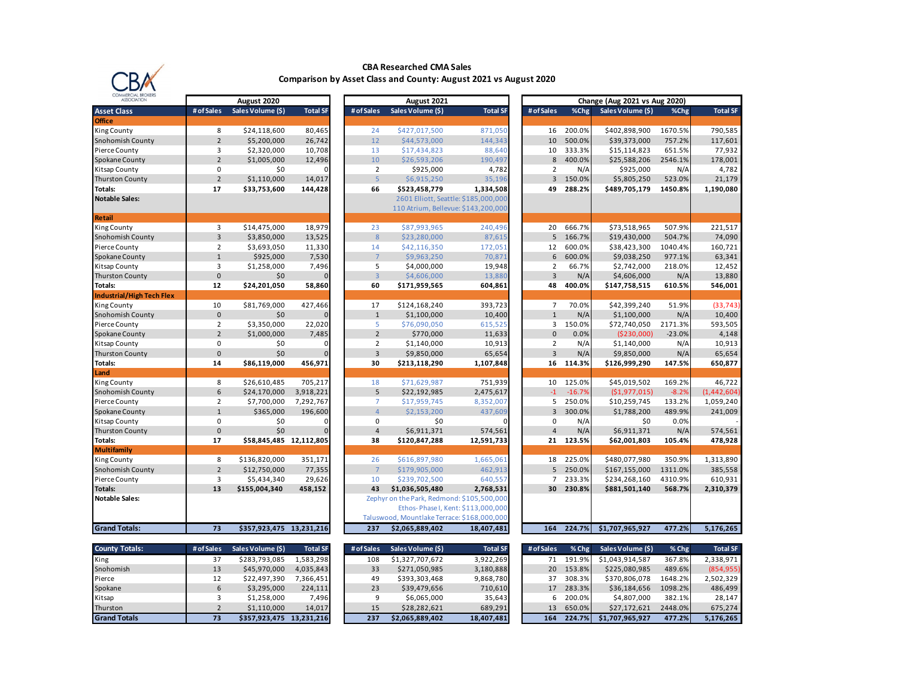

## **CBA Researched CMA Sales Comparison by Asset Class and County: August 2021 vs August 2020**

| IAL DRUNER<br><b>ASSOCIATION</b> | August 2020     |                          |                      | August 2021                      |                                             |                                      | Change (Aug 2021 vs Aug 2020) |           |                   |          |                 |
|----------------------------------|-----------------|--------------------------|----------------------|----------------------------------|---------------------------------------------|--------------------------------------|-------------------------------|-----------|-------------------|----------|-----------------|
| <b>Asset Class</b>               | # of Sales      | Sales Volume (\$)        | <b>Total SF</b>      | # of Sales                       | Sales Volume (\$)                           | <b>Total SF</b>                      | # of Sales                    | %Chg      | Sales Volume (\$) | %Chg     | <b>Total SF</b> |
| <b>Office</b>                    |                 |                          |                      |                                  |                                             |                                      |                               |           |                   |          |                 |
| <b>King County</b>               | 8               | \$24,118,600             | 80,465               | 24                               | \$427,017,500                               | 871,050                              | 16                            | 200.0%    | \$402,898,900     | 1670.5%  | 790,585         |
| Snohomish County                 | $\overline{2}$  | \$5,200,000              | 26,742               | 12                               | \$44,573,000                                | 144,343                              | 10                            | 500.0%    | \$39,373,000      | 757.2%   | 117,601         |
| Pierce County                    | 3               | \$2,320,000              | 10,708               | 13                               | \$17,434,823                                | 88,640                               | 10                            | 333.3%    | \$15,114,823      | 651.5%   | 77,932          |
| Spokane County                   | $\overline{2}$  | \$1,005,000              | 12,496               | 10                               | \$26,593,206                                | 190,497                              | 8                             | 400.0%    | \$25,588,206      | 2546.1%  | 178,001         |
| Kitsap County                    | 0               | \$0                      | O                    | $\overline{2}$                   | \$925,000                                   | 4,782                                | $\overline{2}$                | N/A       | \$925,000         | N/A      | 4,782           |
| <b>Thurston County</b>           | $\overline{2}$  | \$1,110,000              | 14,017               | $\overline{5}$                   | \$6,915,250                                 | 35,196                               | $\overline{3}$                | 150.0%    | \$5,805,250       | 523.0%   | 21,179          |
| Totals:                          | 17              | \$33,753,600             | 144,428              | 66                               | \$523,458,779                               | 1,334,508                            | 49                            | 288.2%    | \$489,705,179     | 1450.8%  | 1,190,080       |
| <b>Notable Sales:</b>            |                 |                          |                      |                                  |                                             | 2601 Elliott, Seattle: \$185,000,000 |                               |           |                   |          |                 |
|                                  |                 |                          |                      |                                  | 110 Atrium, Bellevue: \$143,200,000         |                                      |                               |           |                   |          |                 |
| Retail                           |                 |                          |                      |                                  |                                             |                                      |                               |           |                   |          |                 |
| <b>King County</b>               | $\overline{3}$  | \$14,475,000             | 18,979               | 23                               | \$87,993,965                                | 240,496                              | 20                            | 666.7%    | \$73,518,965      | 507.9%   | 221,517         |
| Snohomish County                 | 3               | \$3,850,000              | 13,525               | 8                                | \$23,280,000                                | 87,615                               | 5                             | 166.7%    | \$19,430,000      | 504.7%   | 74,090          |
| Pierce County                    | $\overline{2}$  | \$3,693,050              | 11,330               | 14                               | \$42,116,350                                | 172,051                              | 12                            | 600.0%    | \$38,423,300      | 1040.4%  | 160,721         |
| Spokane County                   | $\mathbf{1}$    | \$925,000                | 7,530                | $\overline{7}$                   | \$9,963,250                                 | 70,871                               | 6                             | 600.0%    | \$9,038,250       | 977.1%   | 63,341          |
| Kitsap County                    | 3               | \$1,258,000              | 7,496                | 5                                | \$4,000,000                                 | 19,948                               | $\overline{2}$                | 66.7%     | \$2,742,000       | 218.0%   | 12,452          |
| Thurston County                  | $\mathbf{0}$    | \$0                      |                      | $\overline{3}$                   | \$4,606,000                                 | 13,880                               | $\overline{3}$                | N/A       | \$4,606,000       | N/A      | 13,880          |
| Totals:                          | 12              | \$24,201,050             | 58,860               | 60                               | \$171,959,565                               | 604,861                              | 48                            | 400.0%    | \$147,758,515     | 610.5%   | 546,001         |
| <b>Industrial/High Tech Flex</b> |                 |                          |                      |                                  |                                             |                                      |                               |           |                   |          |                 |
| <b>King County</b>               | 10              | \$81,769,000             | 427,466              | 17                               | \$124,168,240                               | 393,723                              | $\overline{7}$                | 70.0%     | \$42,399,240      | 51.9%    | (33, 743)       |
| Snohomish County                 | $\mathbf{0}$    | \$0                      |                      | $\mathbf{1}$                     | \$1,100,000                                 | 10,400                               | $\mathbf{1}$                  | N/A       | \$1,100,000       | N/A      | 10,400          |
| Pierce County                    | $\overline{2}$  | \$3,350,000              | 22,020               | 5                                | \$76,090,050                                | 615,525                              | 3                             | 150.0%    | \$72,740,050      | 2171.3%  | 593,505         |
| Spokane County                   | $\overline{2}$  | \$1,000,000              | 7,485                | $\overline{2}$                   | \$770,000                                   | 11,633                               | $\mathbf{0}$                  | 0.0%      | (\$230,000]       | $-23.0%$ | 4,148           |
| Kitsap County                    | $\pmb{0}$       | \$0                      | $\Omega$<br>$\Omega$ | $\overline{2}$<br>$\overline{3}$ | \$1,140,000                                 | 10,913                               | $\overline{2}$                | N/A       | \$1,140,000       | N/A      | 10,913          |
| <b>Thurston County</b>           | $\mathbf{0}$    | \$0                      |                      |                                  | \$9,850,000                                 | 65,654                               | $\overline{3}$                | N/A       | \$9,850,000       | N/A      | 65,654          |
| Totals:<br>Land                  | 14              | \$86,119,000             | 456,971              | 30                               | \$213,118,290                               | 1,107,848                            | 16                            | 114.3%    | \$126,999,290     | 147.5%   | 650,877         |
| <b>King County</b>               | 8               | \$26,610,485             | 705,217              | 18                               | \$71,629,987                                | 751,939                              | 10                            | 125.0%    | \$45,019,502      | 169.2%   | 46,722          |
| <b>Snohomish County</b>          | 6               | \$24,170,000             | 3,918,221            | 5                                | \$22,192,985                                | 2,475,617                            | $-1$                          | $-16.7%$  | (51, 977, 015)    | $-8.2%$  | (1, 442, 604)   |
| Pierce County                    | $\overline{2}$  | \$7,700,000              | 7,292,767            | $\overline{7}$                   | \$17,959,745                                | 8,352,007                            | 5                             | 250.0%    | \$10,259,745      | 133.2%   | 1,059,240       |
| Spokane County                   | $\mathbf{1}$    | \$365,000                | 196,600              | $\overline{4}$                   | \$2,153,200                                 | 437,609                              | 3                             | 300.0%    | \$1,788,200       | 489.9%   | 241,009         |
| Kitsap County                    | $\pmb{0}$       | \$0                      | 0                    | $\mathsf{O}\xspace$              | \$0                                         |                                      | $\pmb{0}$                     | N/A       | \$0               | 0.0%     |                 |
| <b>Thurston County</b>           | $\mathbf 0$     | \$0                      |                      | $\overline{4}$                   | \$6,911,371                                 | 574,561                              | $\overline{4}$                | N/A       | \$6,911,371       | N/A      | 574,561         |
| Totals:                          | 17              | \$58,845,485 12,112,805  |                      | 38                               | \$120,847,288                               | 12,591,733                           |                               | 21 123.5% | \$62,001,803      | 105.4%   | 478,928         |
| Multifamily                      |                 |                          |                      |                                  |                                             |                                      |                               |           |                   |          |                 |
| <b>King County</b>               | 8               | \$136,820,000            | 351,171              | 26                               | \$616,897,980                               | 1,665,061                            | 18                            | 225.0%    | \$480,077,980     | 350.9%   | 1,313,890       |
| Snohomish County                 | $\overline{2}$  | \$12,750,000             | 77,355               | $\overline{7}$                   | \$179,905,000                               | 462,913                              | 5                             | 250.0%    | \$167,155,000     | 1311.0%  | 385,558         |
| Pierce County                    | 3               | \$5,434,340              | 29,626               | 10                               | \$239,702,500                               | 640,557                              | $\overline{7}$                | 233.3%    | \$234,268,160     | 4310.9%  | 610,931         |
| <b>Totals:</b>                   | 13              | \$155,004,340            | 458,152              | 43                               | \$1,036,505,480                             | 2,768,531                            | 30                            | 230.8%    | \$881,501,140     | 568.7%   | 2,310,379       |
| <b>Notable Sales:</b>            |                 |                          |                      |                                  | Zephyr on the Park, Redmond: \$105,500,000  |                                      |                               |           |                   |          |                 |
|                                  |                 |                          |                      |                                  |                                             | Ethos-Phase I, Kent: \$113,000,000   |                               |           |                   |          |                 |
|                                  |                 |                          |                      |                                  | Taluswood, Mountlake Terrace: \$168,000,000 |                                      |                               |           |                   |          |                 |
| <b>Grand Totals:</b>             | $\overline{73}$ | \$357,923,475 13,231,216 |                      | 237                              | \$2,065,889,402                             | 18,407,481                           | 164                           | 224.7%    | \$1,707,965,927   | 477.2%   | 5,176,265       |
|                                  |                 |                          |                      |                                  |                                             |                                      |                               |           |                   |          |                 |
| <b>County Totals:</b>            | # of Sales      | Sales Volume (\$)        | <b>Total SF</b>      | # of Sales                       | Sales Volume (\$)                           | <b>Total SF</b>                      | # of Sales                    | % Chg     | Sales Volume (\$) | % Chg    | <b>Total SF</b> |
| King                             | 37              | \$283,793,085            | 1,583,298            | 108                              | \$1,327,707,672                             | 3,922,269                            | 71                            | 191.9%    | \$1,043,914,587   | 367.8%   | 2,338,971       |
| Snohomish                        | 13              | \$45,970,000             | 4,035,843            | 33                               | \$271,050,985                               | 3,180,888                            | 20                            | 153.8%    | \$225,080,985     | 489.6%   | (854, 955)      |
| Pierce                           | 12              | \$22,497,390             | 7,366,451            | 49                               | \$393,303,468                               | 9,868,780                            | 37                            | 308.3%    | \$370,806,078     | 1648.2%  | 2,502,329       |
| Spokane                          | 6               | \$3,295,000              | 224,111              | 23                               | \$39,479,656                                | 710,610                              | 17                            | 283.3%    | \$36,184,656      | 1098.2%  | 486,499         |
| Kitsap                           | 3               | \$1,258,000              | 7,496                | 9                                | \$6,065,000                                 | 35,643                               | 6                             | 200.0%    | \$4,807,000       | 382.1%   | 28,147          |
| Thurston                         | $\overline{2}$  | \$1,110,000              | 14,017               | 15                               | \$28,282,621                                | 689,291                              | 13                            | 650.0%    | \$27,172,621      | 2448.0%  | 675,274         |
| <b>Grand Totals</b>              | 73              | \$357,923,475 13,231,216 |                      | 237                              | \$2,065,889,402                             | 18,407,481                           | 164                           | 224.7%    | \$1,707,965,927   | 477.2%   | 5,176,265       |